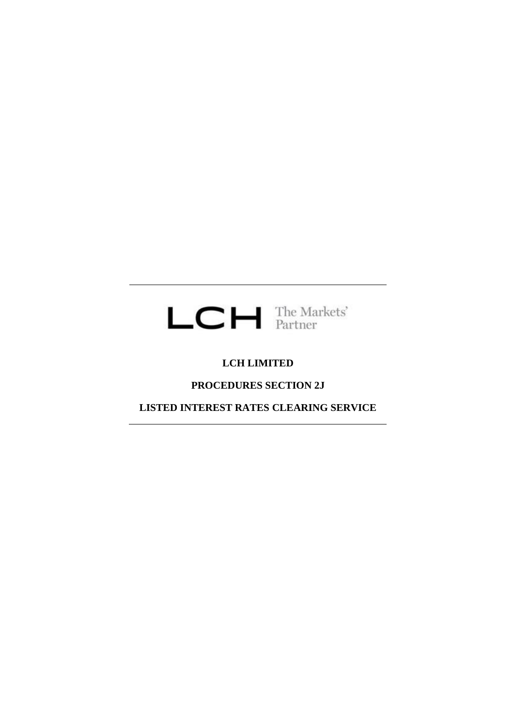

# **LCH LIMITED**

# **PROCEDURES SECTION 2J**

**LISTED INTEREST RATES CLEARING SERVICE**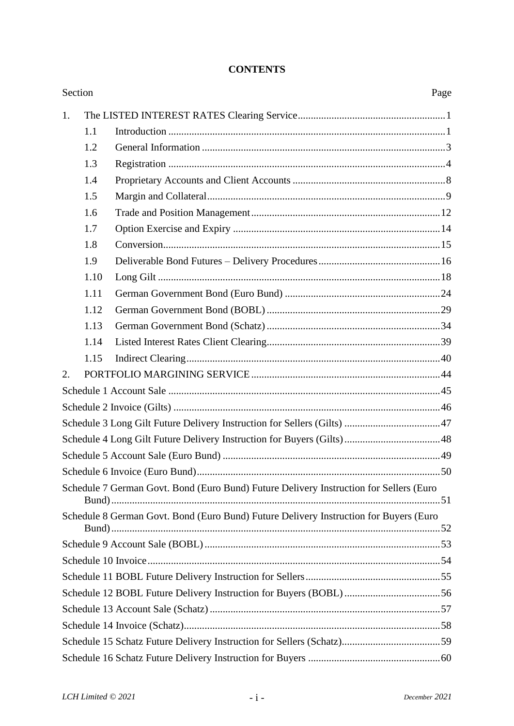| Section |      |                                                                                        | Page |  |  |  |
|---------|------|----------------------------------------------------------------------------------------|------|--|--|--|
| 1.      |      |                                                                                        |      |  |  |  |
|         | 1.1  |                                                                                        |      |  |  |  |
|         | 1.2  |                                                                                        |      |  |  |  |
|         | 1.3  |                                                                                        |      |  |  |  |
|         | 1.4  |                                                                                        |      |  |  |  |
|         | 1.5  |                                                                                        |      |  |  |  |
|         | 1.6  |                                                                                        |      |  |  |  |
|         | 1.7  |                                                                                        |      |  |  |  |
|         | 1.8  |                                                                                        |      |  |  |  |
|         | 1.9  |                                                                                        |      |  |  |  |
|         | 1.10 |                                                                                        |      |  |  |  |
|         | 1.11 |                                                                                        |      |  |  |  |
|         | 1.12 |                                                                                        |      |  |  |  |
|         | 1.13 |                                                                                        |      |  |  |  |
|         | 1.14 |                                                                                        |      |  |  |  |
|         | 1.15 |                                                                                        |      |  |  |  |
| 2.      |      |                                                                                        |      |  |  |  |
|         |      |                                                                                        |      |  |  |  |
|         |      |                                                                                        |      |  |  |  |
|         |      |                                                                                        |      |  |  |  |
|         |      |                                                                                        |      |  |  |  |
|         |      |                                                                                        |      |  |  |  |
|         |      |                                                                                        |      |  |  |  |
|         |      | Schedule 7 German Govt. Bond (Euro Bund) Future Delivery Instruction for Sellers (Euro |      |  |  |  |
|         |      | Schedule 8 German Govt. Bond (Euro Bund) Future Delivery Instruction for Buyers (Euro  |      |  |  |  |
|         |      |                                                                                        |      |  |  |  |
|         |      |                                                                                        |      |  |  |  |
|         |      |                                                                                        |      |  |  |  |
|         |      |                                                                                        |      |  |  |  |
|         |      |                                                                                        |      |  |  |  |
|         |      |                                                                                        |      |  |  |  |
|         |      |                                                                                        |      |  |  |  |
|         |      |                                                                                        |      |  |  |  |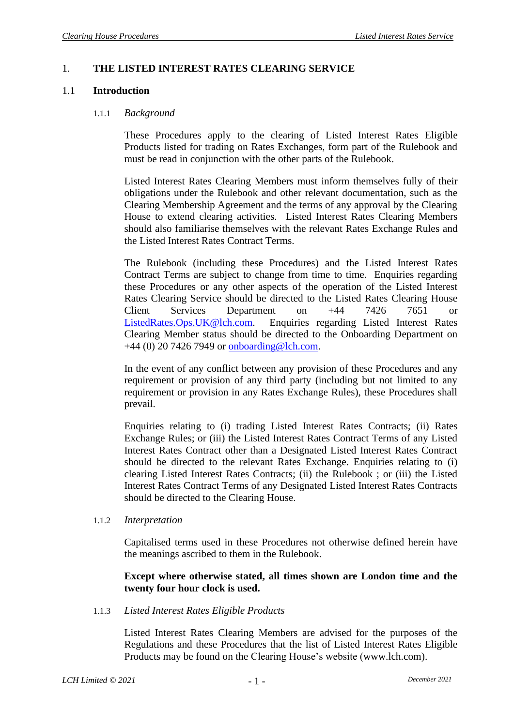### 1. **THE LISTED INTEREST RATES CLEARING SERVICE**

#### 1.1 **Introduction**

#### 1.1.1 *Background*

These Procedures apply to the clearing of Listed Interest Rates Eligible Products listed for trading on Rates Exchanges, form part of the Rulebook and must be read in conjunction with the other parts of the Rulebook.

Listed Interest Rates Clearing Members must inform themselves fully of their obligations under the Rulebook and other relevant documentation, such as the Clearing Membership Agreement and the terms of any approval by the Clearing House to extend clearing activities. Listed Interest Rates Clearing Members should also familiarise themselves with the relevant Rates Exchange Rules and the Listed Interest Rates Contract Terms.

The Rulebook (including these Procedures) and the Listed Interest Rates Contract Terms are subject to change from time to time. Enquiries regarding these Procedures or any other aspects of the operation of the Listed Interest Rates Clearing Service should be directed to the Listed Rates Clearing House Client Services Department on +44 7426 7651 or [ListedRates.Ops.UK@lch.com.](mailto:ListedRates.Ops.UK@lch.com) Enquiries regarding Listed Interest Rates Clearing Member status should be directed to the Onboarding Department on +44 (0) 20 7426 7949 or [onboarding@lch.com.](mailto:membership@lch.com)

In the event of any conflict between any provision of these Procedures and any requirement or provision of any third party (including but not limited to any requirement or provision in any Rates Exchange Rules), these Procedures shall prevail.

Enquiries relating to (i) trading Listed Interest Rates Contracts; (ii) Rates Exchange Rules; or (iii) the Listed Interest Rates Contract Terms of any Listed Interest Rates Contract other than a Designated Listed Interest Rates Contract should be directed to the relevant Rates Exchange. Enquiries relating to (i) clearing Listed Interest Rates Contracts; (ii) the Rulebook ; or (iii) the Listed Interest Rates Contract Terms of any Designated Listed Interest Rates Contracts should be directed to the Clearing House.

#### 1.1.2 *Interpretation*

Capitalised terms used in these Procedures not otherwise defined herein have the meanings ascribed to them in the Rulebook.

### **Except where otherwise stated, all times shown are London time and the twenty four hour clock is used.**

#### 1.1.3 *Listed Interest Rates Eligible Products*

Listed Interest Rates Clearing Members are advised for the purposes of the Regulations and these Procedures that the list of Listed Interest Rates Eligible Products may be found on the Clearing House's website [\(www.lch.com\)](http://www.lch.com/).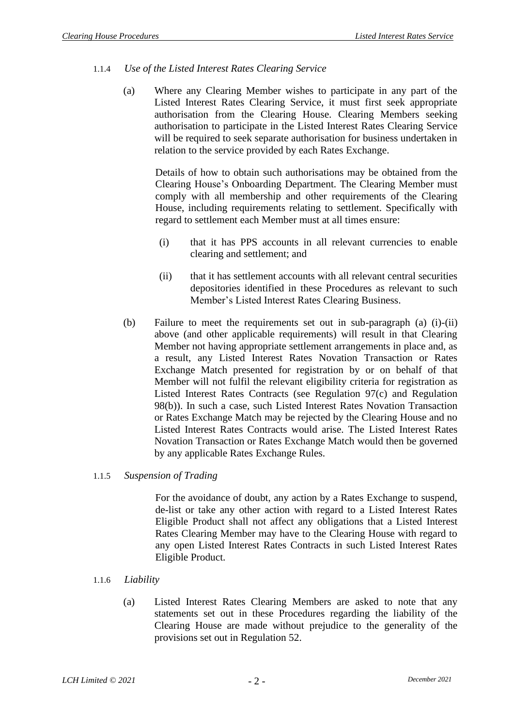## 1.1.4 *Use of the Listed Interest Rates Clearing Service*

(a) Where any Clearing Member wishes to participate in any part of the Listed Interest Rates Clearing Service, it must first seek appropriate authorisation from the Clearing House. Clearing Members seeking authorisation to participate in the Listed Interest Rates Clearing Service will be required to seek separate authorisation for business undertaken in relation to the service provided by each Rates Exchange.

Details of how to obtain such authorisations may be obtained from the Clearing House's Onboarding Department. The Clearing Member must comply with all membership and other requirements of the Clearing House, including requirements relating to settlement. Specifically with regard to settlement each Member must at all times ensure:

- (i) that it has PPS accounts in all relevant currencies to enable clearing and settlement; and
- (ii) that it has settlement accounts with all relevant central securities depositories identified in these Procedures as relevant to such Member's Listed Interest Rates Clearing Business.
- (b) Failure to meet the requirements set out in sub-paragraph (a) (i)-(ii) above (and other applicable requirements) will result in that Clearing Member not having appropriate settlement arrangements in place and, as a result, any Listed Interest Rates Novation Transaction or Rates Exchange Match presented for registration by or on behalf of that Member will not fulfil the relevant eligibility criteria for registration as Listed Interest Rates Contracts (see Regulation 97(c) and Regulation 98(b)). In such a case, such Listed Interest Rates Novation Transaction or Rates Exchange Match may be rejected by the Clearing House and no Listed Interest Rates Contracts would arise. The Listed Interest Rates Novation Transaction or Rates Exchange Match would then be governed by any applicable Rates Exchange Rules.

## 1.1.5 *Suspension of Trading*

For the avoidance of doubt, any action by a Rates Exchange to suspend, de-list or take any other action with regard to a Listed Interest Rates Eligible Product shall not affect any obligations that a Listed Interest Rates Clearing Member may have to the Clearing House with regard to any open Listed Interest Rates Contracts in such Listed Interest Rates Eligible Product.

## 1.1.6 *Liability*

(a) Listed Interest Rates Clearing Members are asked to note that any statements set out in these Procedures regarding the liability of the Clearing House are made without prejudice to the generality of the provisions set out in Regulation 52.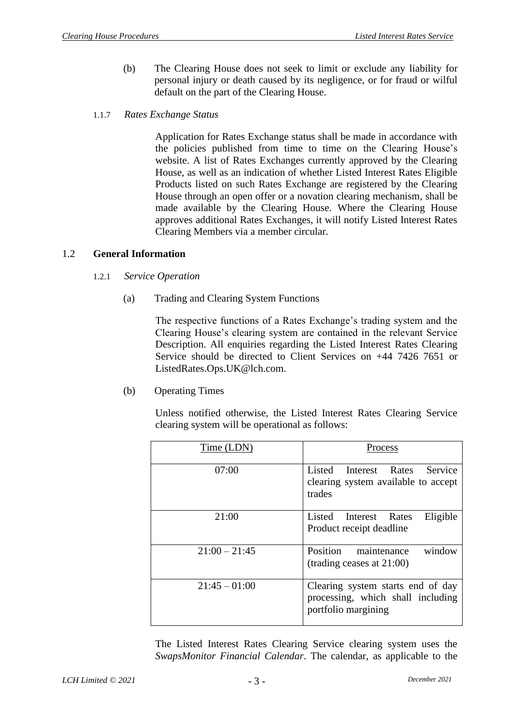- (b) The Clearing House does not seek to limit or exclude any liability for personal injury or death caused by its negligence, or for fraud or wilful default on the part of the Clearing House.
- 1.1.7 *Rates Exchange Status*

Application for Rates Exchange status shall be made in accordance with the policies published from time to time on the Clearing House's website. A list of Rates Exchanges currently approved by the Clearing House, as well as an indication of whether Listed Interest Rates Eligible Products listed on such Rates Exchange are registered by the Clearing House through an open offer or a novation clearing mechanism, shall be made available by the Clearing House. Where the Clearing House approves additional Rates Exchanges, it will notify Listed Interest Rates Clearing Members via a member circular.

### 1.2 **General Information**

- 1.2.1 *Service Operation*
	- (a) Trading and Clearing System Functions

The respective functions of a Rates Exchange's trading system and the Clearing House's clearing system are contained in the relevant Service Description. All enquiries regarding the Listed Interest Rates Clearing Service should be directed to Client Services on +44 7426 7651 or [ListedRates.Ops.UK@lch.com.](mailto:ListedRates.Ops.UK@lch.com)

(b) Operating Times

Unless notified otherwise, the Listed Interest Rates Clearing Service clearing system will be operational as follows:

| Time (LDN)      | Process                                                                                       |
|-----------------|-----------------------------------------------------------------------------------------------|
| 07:00           | Listed Interest Rates Service<br>clearing system available to accept<br>trades                |
| 21:00           | Eligible<br>Listed Interest Rates<br>Product receipt deadline                                 |
| $21:00 - 21:45$ | window<br>Position<br>maintenance<br>(trading ceases at 21:00)                                |
| $21:45 - 01:00$ | Clearing system starts end of day<br>processing, which shall including<br>portfolio margining |

The Listed Interest Rates Clearing Service clearing system uses the *SwapsMonitor Financial Calendar*. The calendar, as applicable to the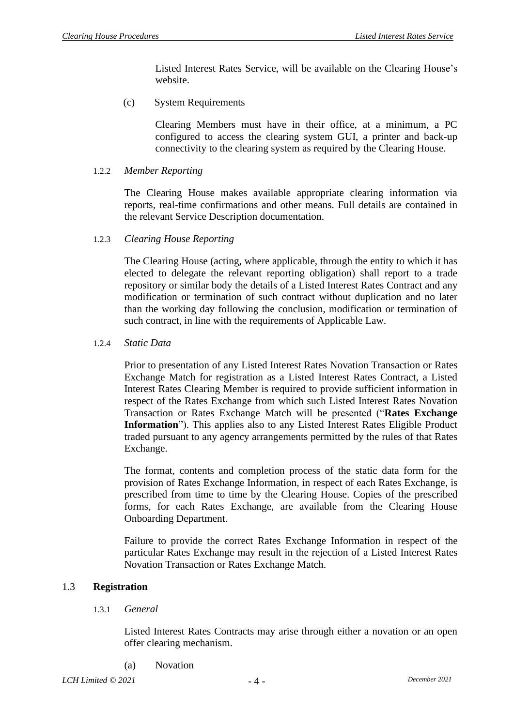Listed Interest Rates Service, will be available on the Clearing House's website.

(c) System Requirements

Clearing Members must have in their office, at a minimum, a PC configured to access the clearing system GUI, a printer and back-up connectivity to the clearing system as required by the Clearing House.

1.2.2 *Member Reporting*

The Clearing House makes available appropriate clearing information via reports, real-time confirmations and other means. Full details are contained in the relevant Service Description documentation.

1.2.3 *Clearing House Reporting*

The Clearing House (acting, where applicable, through the entity to which it has elected to delegate the relevant reporting obligation) shall report to a trade repository or similar body the details of a Listed Interest Rates Contract and any modification or termination of such contract without duplication and no later than the working day following the conclusion, modification or termination of such contract, in line with the requirements of Applicable Law.

#### 1.2.4 *Static Data*

Prior to presentation of any Listed Interest Rates Novation Transaction or Rates Exchange Match for registration as a Listed Interest Rates Contract, a Listed Interest Rates Clearing Member is required to provide sufficient information in respect of the Rates Exchange from which such Listed Interest Rates Novation Transaction or Rates Exchange Match will be presented ("**Rates Exchange Information**"). This applies also to any Listed Interest Rates Eligible Product traded pursuant to any agency arrangements permitted by the rules of that Rates Exchange.

The format, contents and completion process of the static data form for the provision of Rates Exchange Information, in respect of each Rates Exchange, is prescribed from time to time by the Clearing House. Copies of the prescribed forms, for each Rates Exchange, are available from the Clearing House Onboarding Department.

Failure to provide the correct Rates Exchange Information in respect of the particular Rates Exchange may result in the rejection of a Listed Interest Rates Novation Transaction or Rates Exchange Match.

#### 1.3 **Registration**

1.3.1 *General*

Listed Interest Rates Contracts may arise through either a novation or an open offer clearing mechanism.

(a) Novation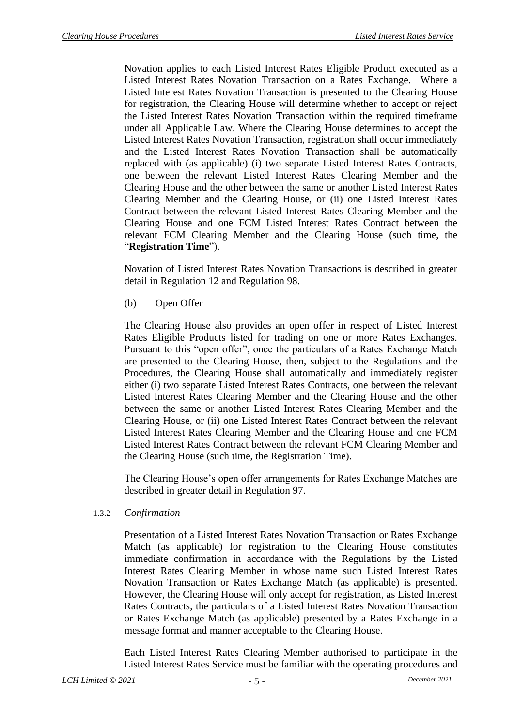Novation applies to each Listed Interest Rates Eligible Product executed as a Listed Interest Rates Novation Transaction on a Rates Exchange. Where a Listed Interest Rates Novation Transaction is presented to the Clearing House for registration, the Clearing House will determine whether to accept or reject the Listed Interest Rates Novation Transaction within the required timeframe under all Applicable Law. Where the Clearing House determines to accept the Listed Interest Rates Novation Transaction, registration shall occur immediately and the Listed Interest Rates Novation Transaction shall be automatically replaced with (as applicable) (i) two separate Listed Interest Rates Contracts, one between the relevant Listed Interest Rates Clearing Member and the Clearing House and the other between the same or another Listed Interest Rates Clearing Member and the Clearing House, or (ii) one Listed Interest Rates Contract between the relevant Listed Interest Rates Clearing Member and the Clearing House and one FCM Listed Interest Rates Contract between the relevant FCM Clearing Member and the Clearing House (such time, the "**Registration Time**").

Novation of Listed Interest Rates Novation Transactions is described in greater detail in Regulation 12 and Regulation 98.

(b) Open Offer

The Clearing House also provides an open offer in respect of Listed Interest Rates Eligible Products listed for trading on one or more Rates Exchanges. Pursuant to this "open offer", once the particulars of a Rates Exchange Match are presented to the Clearing House, then, subject to the Regulations and the Procedures, the Clearing House shall automatically and immediately register either (i) two separate Listed Interest Rates Contracts, one between the relevant Listed Interest Rates Clearing Member and the Clearing House and the other between the same or another Listed Interest Rates Clearing Member and the Clearing House, or (ii) one Listed Interest Rates Contract between the relevant Listed Interest Rates Clearing Member and the Clearing House and one FCM Listed Interest Rates Contract between the relevant FCM Clearing Member and the Clearing House (such time, the Registration Time).

The Clearing House's open offer arrangements for Rates Exchange Matches are described in greater detail in Regulation 97.

## 1.3.2 *Confirmation*

Presentation of a Listed Interest Rates Novation Transaction or Rates Exchange Match (as applicable) for registration to the Clearing House constitutes immediate confirmation in accordance with the Regulations by the Listed Interest Rates Clearing Member in whose name such Listed Interest Rates Novation Transaction or Rates Exchange Match (as applicable) is presented. However, the Clearing House will only accept for registration, as Listed Interest Rates Contracts, the particulars of a Listed Interest Rates Novation Transaction or Rates Exchange Match (as applicable) presented by a Rates Exchange in a message format and manner acceptable to the Clearing House.

Each Listed Interest Rates Clearing Member authorised to participate in the Listed Interest Rates Service must be familiar with the operating procedures and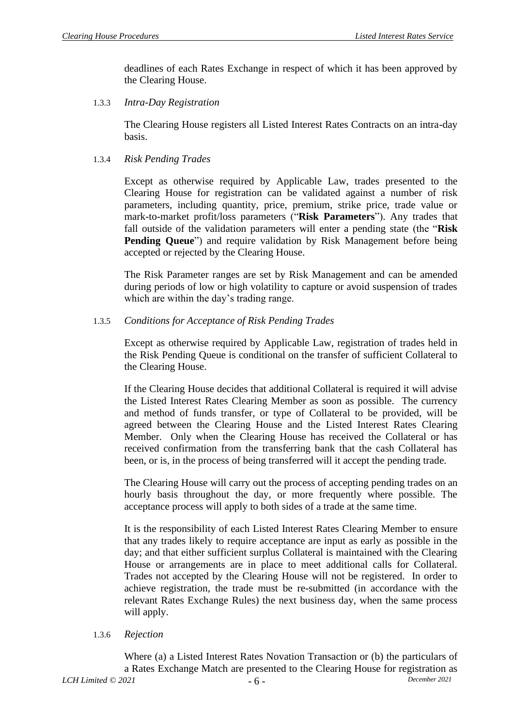deadlines of each Rates Exchange in respect of which it has been approved by the Clearing House.

1.3.3 *Intra-Day Registration*

The Clearing House registers all Listed Interest Rates Contracts on an intra-day basis.

1.3.4 *Risk Pending Trades*

Except as otherwise required by Applicable Law, trades presented to the Clearing House for registration can be validated against a number of risk parameters, including quantity, price, premium, strike price, trade value or mark-to-market profit/loss parameters ("**Risk Parameters**"). Any trades that fall outside of the validation parameters will enter a pending state (the "**Risk Pending Queue**") and require validation by Risk Management before being accepted or rejected by the Clearing House.

The Risk Parameter ranges are set by Risk Management and can be amended during periods of low or high volatility to capture or avoid suspension of trades which are within the day's trading range.

## 1.3.5 *Conditions for Acceptance of Risk Pending Trades*

Except as otherwise required by Applicable Law, registration of trades held in the Risk Pending Queue is conditional on the transfer of sufficient Collateral to the Clearing House.

If the Clearing House decides that additional Collateral is required it will advise the Listed Interest Rates Clearing Member as soon as possible. The currency and method of funds transfer, or type of Collateral to be provided, will be agreed between the Clearing House and the Listed Interest Rates Clearing Member. Only when the Clearing House has received the Collateral or has received confirmation from the transferring bank that the cash Collateral has been, or is, in the process of being transferred will it accept the pending trade.

The Clearing House will carry out the process of accepting pending trades on an hourly basis throughout the day, or more frequently where possible. The acceptance process will apply to both sides of a trade at the same time.

It is the responsibility of each Listed Interest Rates Clearing Member to ensure that any trades likely to require acceptance are input as early as possible in the day; and that either sufficient surplus Collateral is maintained with the Clearing House or arrangements are in place to meet additional calls for Collateral. Trades not accepted by the Clearing House will not be registered. In order to achieve registration, the trade must be re-submitted (in accordance with the relevant Rates Exchange Rules) the next business day, when the same process will apply.

1.3.6 *Rejection* 

Where (a) a Listed Interest Rates Novation Transaction or (b) the particulars of a Rates Exchange Match are presented to the Clearing House for registration as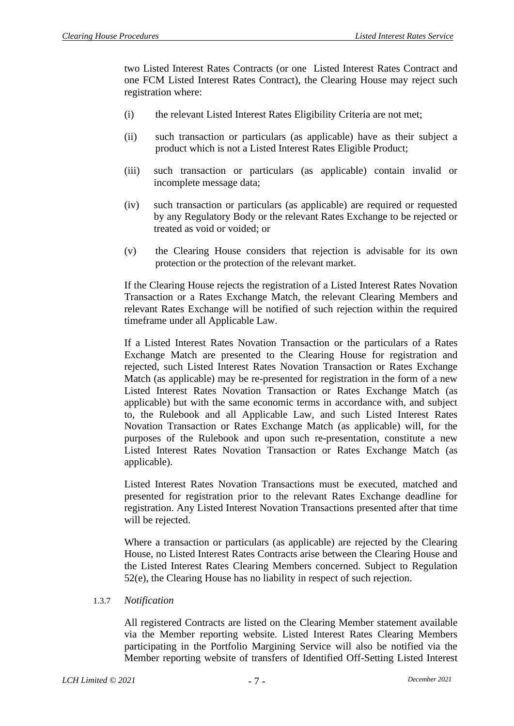two Listed Interest Rates Contracts (or one Listed Interest Rates Contract and one FCM Listed Interest Rates Contract), the Clearing House may reject such registration where:

- (i) the relevant Listed Interest Rates Eligibility Criteria are not met;
- (ii) such transaction or particulars (as applicable) have as their subject a product which is not a Listed Interest Rates Eligible Product;
- (iii) such transaction or particulars (as applicable) contain invalid or incomplete message data;
- (iv) such transaction or particulars (as applicable) are required or requested by any Regulatory Body or the relevant Rates Exchange to be rejected or treated as void or voided; or
- (v) the Clearing House considers that rejection is advisable for its own protection or the protection of the relevant market.

If the Clearing House rejects the registration of a Listed Interest Rates Novation Transaction or a Rates Exchange Match, the relevant Clearing Members and relevant Rates Exchange will be notified of such rejection within the required timeframe under all Applicable Law.

If a Listed Interest Rates Novation Transaction or the particulars of a Rates Exchange Match are presented to the Clearing House for registration and rejected, such Listed Interest Rates Novation Transaction or Rates Exchange Match (as applicable) may be re-presented for registration in the form of a new Listed Interest Rates Novation Transaction or Rates Exchange Match (as applicable) but with the same economic terms in accordance with, and subject to, the Rulebook and all Applicable Law, and such Listed Interest Rates Novation Transaction or Rates Exchange Match (as applicable) will, for the purposes of the Rulebook and upon such re-presentation, constitute a new Listed Interest Rates Novation Transaction or Rates Exchange Match (as applicable).

Listed Interest Rates Novation Transactions must be executed, matched and presented for registration prior to the relevant Rates Exchange deadline for registration. Any Listed Interest Novation Transactions presented after that time will be rejected.

Where a transaction or particulars (as applicable) are rejected by the Clearing House, no Listed Interest Rates Contracts arise between the Clearing House and the Listed Interest Rates Clearing Members concerned. Subject to Regulation 52(e), the Clearing House has no liability in respect of such rejection.

#### 1.3.7 *Notification*

All registered Contracts are listed on the Clearing Member statement available via the Member reporting website. Listed Interest Rates Clearing Members participating in the Portfolio Margining Service will also be notified via the Member reporting website of transfers of Identified Off-Setting Listed Interest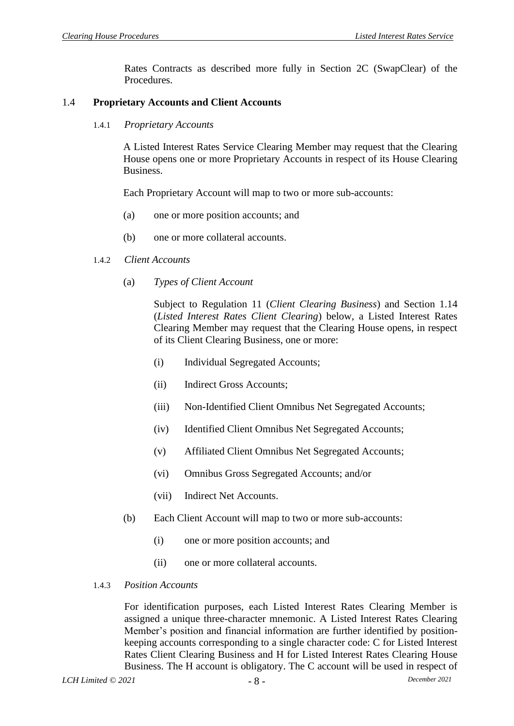Rates Contracts as described more fully in Section 2C (SwapClear) of the Procedures.

#### 1.4 **Proprietary Accounts and Client Accounts**

1.4.1 *Proprietary Accounts*

A Listed Interest Rates Service Clearing Member may request that the Clearing House opens one or more Proprietary Accounts in respect of its House Clearing Business.

Each Proprietary Account will map to two or more sub-accounts:

- (a) one or more position accounts; and
- (b) one or more collateral accounts.
- 1.4.2 *Client Accounts*
	- (a) *Types of Client Account*

Subject to Regulation 11 (*Client Clearing Business*) and Section 1.14 (*Listed Interest Rates Client Clearing*) below, a Listed Interest Rates Clearing Member may request that the Clearing House opens, in respect of its Client Clearing Business, one or more:

- (i) Individual Segregated Accounts;
- (ii) Indirect Gross Accounts;
- (iii) Non-Identified Client Omnibus Net Segregated Accounts;
- (iv) Identified Client Omnibus Net Segregated Accounts;
- (v) Affiliated Client Omnibus Net Segregated Accounts;
- (vi) Omnibus Gross Segregated Accounts; and/or
- (vii) Indirect Net Accounts.
- (b) Each Client Account will map to two or more sub-accounts:
	- (i) one or more position accounts; and
	- (ii) one or more collateral accounts.

#### 1.4.3 *Position Accounts*

For identification purposes, each Listed Interest Rates Clearing Member is assigned a unique three-character mnemonic. A Listed Interest Rates Clearing Member's position and financial information are further identified by positionkeeping accounts corresponding to a single character code: C for Listed Interest Rates Client Clearing Business and H for Listed Interest Rates Clearing House Business. The H account is obligatory. The C account will be used in respect of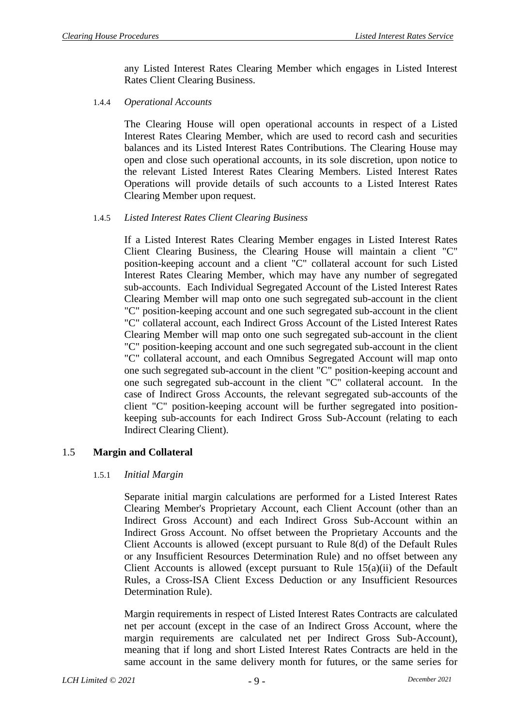any Listed Interest Rates Clearing Member which engages in Listed Interest Rates Client Clearing Business.

1.4.4 *Operational Accounts*

The Clearing House will open operational accounts in respect of a Listed Interest Rates Clearing Member, which are used to record cash and securities balances and its Listed Interest Rates Contributions. The Clearing House may open and close such operational accounts, in its sole discretion, upon notice to the relevant Listed Interest Rates Clearing Members. Listed Interest Rates Operations will provide details of such accounts to a Listed Interest Rates Clearing Member upon request.

### 1.4.5 *Listed Interest Rates Client Clearing Business*

If a Listed Interest Rates Clearing Member engages in Listed Interest Rates Client Clearing Business, the Clearing House will maintain a client "C" position-keeping account and a client "C" collateral account for such Listed Interest Rates Clearing Member, which may have any number of segregated sub-accounts. Each Individual Segregated Account of the Listed Interest Rates Clearing Member will map onto one such segregated sub-account in the client "C" position-keeping account and one such segregated sub-account in the client "C" collateral account, each Indirect Gross Account of the Listed Interest Rates Clearing Member will map onto one such segregated sub-account in the client "C" position-keeping account and one such segregated sub-account in the client "C" collateral account, and each Omnibus Segregated Account will map onto one such segregated sub-account in the client "C" position-keeping account and one such segregated sub-account in the client "C" collateral account. In the case of Indirect Gross Accounts, the relevant segregated sub-accounts of the client "C" position-keeping account will be further segregated into positionkeeping sub-accounts for each Indirect Gross Sub-Account (relating to each Indirect Clearing Client).

## 1.5 **Margin and Collateral**

#### 1.5.1 *Initial Margin*

Separate initial margin calculations are performed for a Listed Interest Rates Clearing Member's Proprietary Account, each Client Account (other than an Indirect Gross Account) and each Indirect Gross Sub-Account within an Indirect Gross Account. No offset between the Proprietary Accounts and the Client Accounts is allowed (except pursuant to Rule 8(d) of the Default Rules or any Insufficient Resources Determination Rule) and no offset between any Client Accounts is allowed (except pursuant to Rule 15(a)(ii) of the Default Rules, a Cross-ISA Client Excess Deduction or any Insufficient Resources Determination Rule).

Margin requirements in respect of Listed Interest Rates Contracts are calculated net per account (except in the case of an Indirect Gross Account, where the margin requirements are calculated net per Indirect Gross Sub-Account), meaning that if long and short Listed Interest Rates Contracts are held in the same account in the same delivery month for futures, or the same series for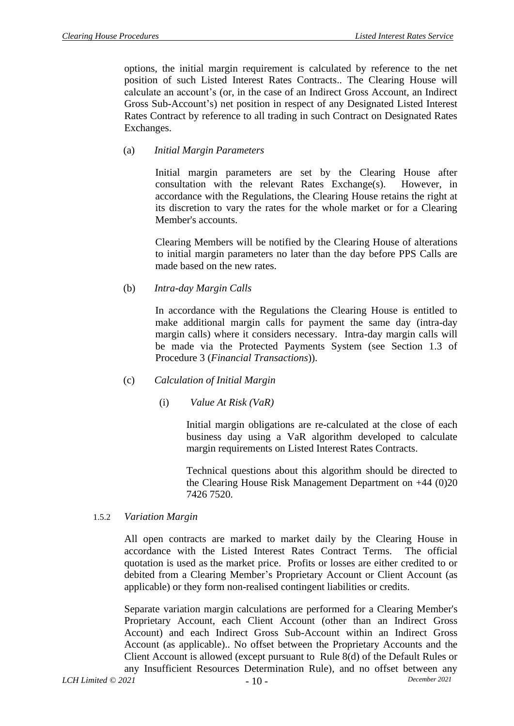options, the initial margin requirement is calculated by reference to the net position of such Listed Interest Rates Contracts.. The Clearing House will calculate an account's (or, in the case of an Indirect Gross Account, an Indirect Gross Sub-Account's) net position in respect of any Designated Listed Interest Rates Contract by reference to all trading in such Contract on Designated Rates Exchanges.

### (a) *Initial Margin Parameters*

Initial margin parameters are set by the Clearing House after consultation with the relevant Rates Exchange(s). However, in accordance with the Regulations, the Clearing House retains the right at its discretion to vary the rates for the whole market or for a Clearing Member's accounts.

Clearing Members will be notified by the Clearing House of alterations to initial margin parameters no later than the day before PPS Calls are made based on the new rates.

#### (b) *Intra-day Margin Calls*

In accordance with the Regulations the Clearing House is entitled to make additional margin calls for payment the same day (intra-day margin calls) where it considers necessary. Intra-day margin calls will be made via the Protected Payments System (see Section 1.3 of Procedure 3 (*Financial Transactions*)).

#### (c) *Calculation of Initial Margin*

(i) *Value At Risk (VaR)*

Initial margin obligations are re-calculated at the close of each business day using a VaR algorithm developed to calculate margin requirements on Listed Interest Rates Contracts.

Technical questions about this algorithm should be directed to the Clearing House Risk Management Department on +44 (0)20 7426 7520.

#### 1.5.2 *Variation Margin*

All open contracts are marked to market daily by the Clearing House in accordance with the Listed Interest Rates Contract Terms. The official quotation is used as the market price. Profits or losses are either credited to or debited from a Clearing Member's Proprietary Account or Client Account (as applicable) or they form non-realised contingent liabilities or credits.

Separate variation margin calculations are performed for a Clearing Member's Proprietary Account, each Client Account (other than an Indirect Gross Account) and each Indirect Gross Sub-Account within an Indirect Gross Account (as applicable).. No offset between the Proprietary Accounts and the Client Account is allowed (except pursuant to Rule 8(d) of the Default Rules or any Insufficient Resources Determination Rule), and no offset between any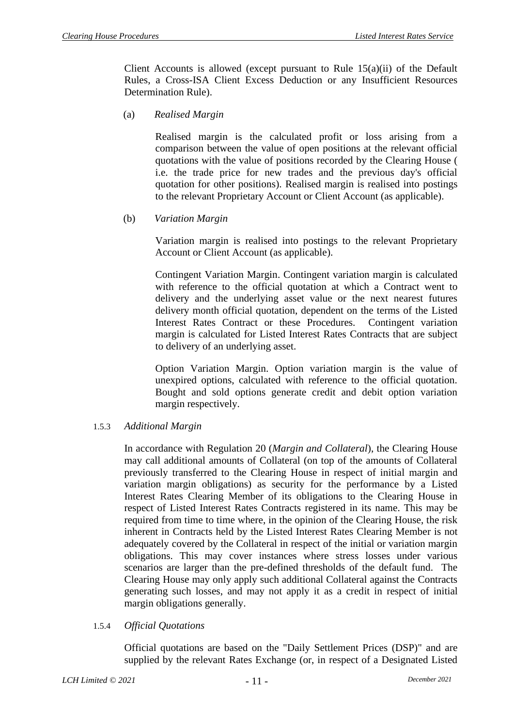Client Accounts is allowed (except pursuant to Rule 15(a)(ii) of the Default Rules, a Cross-ISA Client Excess Deduction or any Insufficient Resources Determination Rule).

(a) *Realised Margin*

Realised margin is the calculated profit or loss arising from a comparison between the value of open positions at the relevant official quotations with the value of positions recorded by the Clearing House ( i.e. the trade price for new trades and the previous day's official quotation for other positions). Realised margin is realised into postings to the relevant Proprietary Account or Client Account (as applicable).

(b) *Variation Margin*

Variation margin is realised into postings to the relevant Proprietary Account or Client Account (as applicable).

Contingent Variation Margin. Contingent variation margin is calculated with reference to the official quotation at which a Contract went to delivery and the underlying asset value or the next nearest futures delivery month official quotation, dependent on the terms of the Listed Interest Rates Contract or these Procedures. Contingent variation margin is calculated for Listed Interest Rates Contracts that are subject to delivery of an underlying asset.

Option Variation Margin. Option variation margin is the value of unexpired options, calculated with reference to the official quotation. Bought and sold options generate credit and debit option variation margin respectively.

#### 1.5.3 *Additional Margin*

In accordance with Regulation 20 (*Margin and Collateral*), the Clearing House may call additional amounts of Collateral (on top of the amounts of Collateral previously transferred to the Clearing House in respect of initial margin and variation margin obligations) as security for the performance by a Listed Interest Rates Clearing Member of its obligations to the Clearing House in respect of Listed Interest Rates Contracts registered in its name. This may be required from time to time where, in the opinion of the Clearing House, the risk inherent in Contracts held by the Listed Interest Rates Clearing Member is not adequately covered by the Collateral in respect of the initial or variation margin obligations. This may cover instances where stress losses under various scenarios are larger than the pre-defined thresholds of the default fund. The Clearing House may only apply such additional Collateral against the Contracts generating such losses, and may not apply it as a credit in respect of initial margin obligations generally.

#### 1.5.4 *Official Quotations*

Official quotations are based on the "Daily Settlement Prices (DSP)" and are supplied by the relevant Rates Exchange (or, in respect of a Designated Listed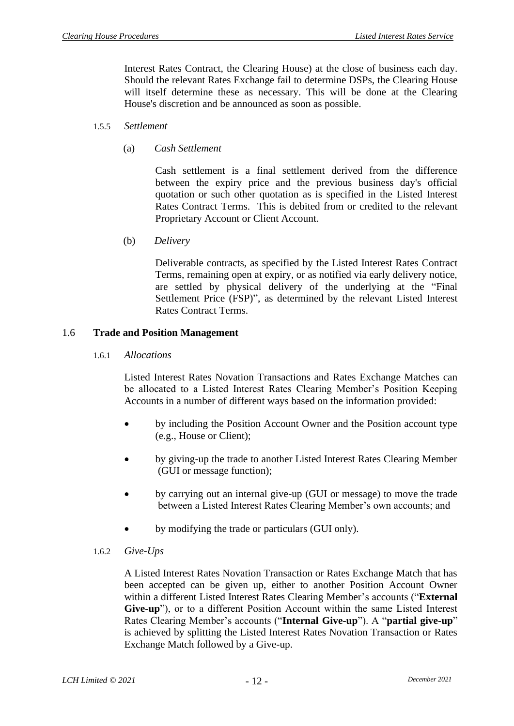Interest Rates Contract, the Clearing House) at the close of business each day. Should the relevant Rates Exchange fail to determine DSPs, the Clearing House will itself determine these as necessary. This will be done at the Clearing House's discretion and be announced as soon as possible.

#### 1.5.5 *Settlement*

(a) *Cash Settlement*

Cash settlement is a final settlement derived from the difference between the expiry price and the previous business day's official quotation or such other quotation as is specified in the Listed Interest Rates Contract Terms. This is debited from or credited to the relevant Proprietary Account or Client Account.

(b) *Delivery*

Deliverable contracts, as specified by the Listed Interest Rates Contract Terms, remaining open at expiry, or as notified via early delivery notice, are settled by physical delivery of the underlying at the "Final Settlement Price (FSP)", as determined by the relevant Listed Interest Rates Contract Terms.

#### 1.6 **Trade and Position Management**

1.6.1 *Allocations*

Listed Interest Rates Novation Transactions and Rates Exchange Matches can be allocated to a Listed Interest Rates Clearing Member's Position Keeping Accounts in a number of different ways based on the information provided:

- by including the Position Account Owner and the Position account type (e.g., House or Client);
- by giving-up the trade to another Listed Interest Rates Clearing Member (GUI or message function);
- by carrying out an internal give-up (GUI or message) to move the trade between a Listed Interest Rates Clearing Member's own accounts; and
- by modifying the trade or particulars (GUI only).
- 1.6.2 *Give-Ups*

A Listed Interest Rates Novation Transaction or Rates Exchange Match that has been accepted can be given up, either to another Position Account Owner within a different Listed Interest Rates Clearing Member's accounts ("**External Give-up**"), or to a different Position Account within the same Listed Interest Rates Clearing Member's accounts ("**Internal Give-up**"). A "**partial give-up**" is achieved by splitting the Listed Interest Rates Novation Transaction or Rates Exchange Match followed by a Give-up.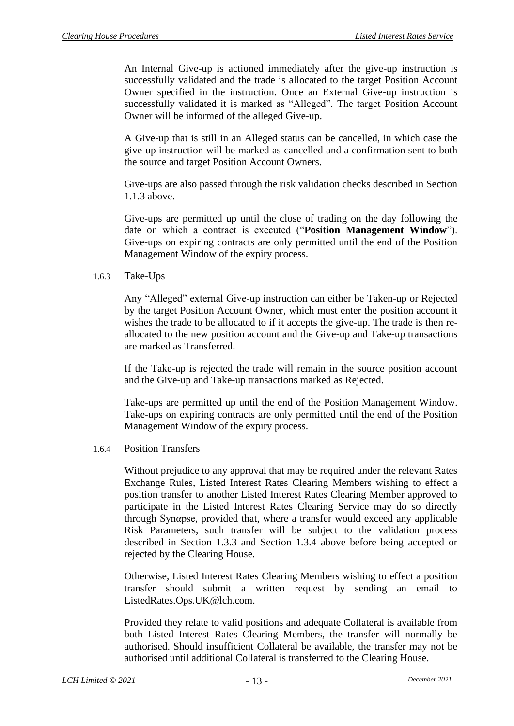An Internal Give-up is actioned immediately after the give-up instruction is successfully validated and the trade is allocated to the target Position Account Owner specified in the instruction. Once an External Give-up instruction is successfully validated it is marked as "Alleged". The target Position Account Owner will be informed of the alleged Give-up.

A Give-up that is still in an Alleged status can be cancelled, in which case the give-up instruction will be marked as cancelled and a confirmation sent to both the source and target Position Account Owners.

Give-ups are also passed through the risk validation checks described in Section 1.1.3 above.

Give-ups are permitted up until the close of trading on the day following the date on which a contract is executed ("**Position Management Window**"). Give-ups on expiring contracts are only permitted until the end of the Position Management Window of the expiry process.

1.6.3 Take-Ups

Any "Alleged" external Give-up instruction can either be Taken-up or Rejected by the target Position Account Owner, which must enter the position account it wishes the trade to be allocated to if it accepts the give-up. The trade is then reallocated to the new position account and the Give-up and Take-up transactions are marked as Transferred.

If the Take-up is rejected the trade will remain in the source position account and the Give-up and Take-up transactions marked as Rejected.

Take-ups are permitted up until the end of the Position Management Window. Take-ups on expiring contracts are only permitted until the end of the Position Management Window of the expiry process.

#### 1.6.4 Position Transfers

Without prejudice to any approval that may be required under the relevant Rates Exchange Rules, Listed Interest Rates Clearing Members wishing to effect a position transfer to another Listed Interest Rates Clearing Member approved to participate in the Listed Interest Rates Clearing Service may do so directly through Synαpse, provided that, where a transfer would exceed any applicable Risk Parameters, such transfer will be subject to the validation process described in Section 1.3.3 and Section 1.3.4 above before being accepted or rejected by the Clearing House.

Otherwise, Listed Interest Rates Clearing Members wishing to effect a position transfer should submit a written request by sending an email to [ListedRates.Ops.UK@lch.com.](mailto:derivatives.ops.uk@lchclearnet.com)

Provided they relate to valid positions and adequate Collateral is available from both Listed Interest Rates Clearing Members, the transfer will normally be authorised. Should insufficient Collateral be available, the transfer may not be authorised until additional Collateral is transferred to the Clearing House.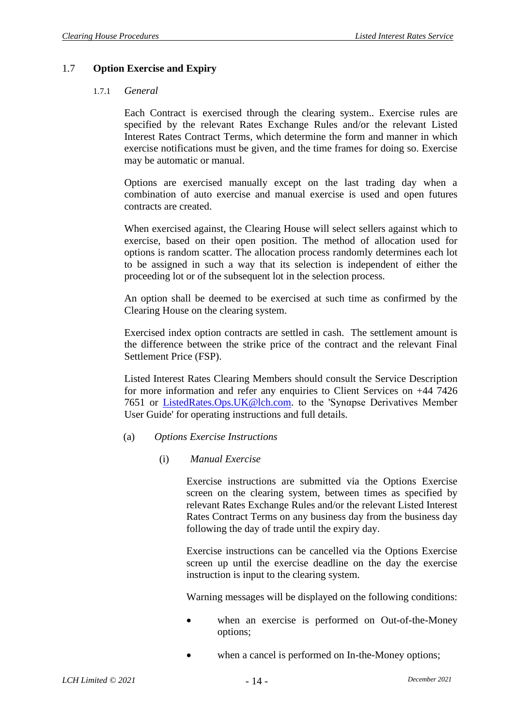### 1.7 **Option Exercise and Expiry**

#### 1.7.1 *General*

Each Contract is exercised through the clearing system.. Exercise rules are specified by the relevant Rates Exchange Rules and/or the relevant Listed Interest Rates Contract Terms, which determine the form and manner in which exercise notifications must be given, and the time frames for doing so. Exercise may be automatic or manual.

Options are exercised manually except on the last trading day when a combination of auto exercise and manual exercise is used and open futures contracts are created.

When exercised against, the Clearing House will select sellers against which to exercise, based on their open position. The method of allocation used for options is random scatter. The allocation process randomly determines each lot to be assigned in such a way that its selection is independent of either the proceeding lot or of the subsequent lot in the selection process.

An option shall be deemed to be exercised at such time as confirmed by the Clearing House on the clearing system.

Exercised index option contracts are settled in cash. The settlement amount is the difference between the strike price of the contract and the relevant Final Settlement Price (FSP).

Listed Interest Rates Clearing Members should consult the Service Description for more information and refer any enquiries to Client Services on +44 7426 7651 or [ListedRates.Ops.UK@lch.com.](mailto:ListedRates.Ops.UK@lchclearnet.com) to the 'Synαpse Derivatives Member User Guide' for operating instructions and full details.

#### (a) *Options Exercise Instructions*

#### (i) *Manual Exercise*

Exercise instructions are submitted via the Options Exercise screen on the clearing system, between times as specified by relevant Rates Exchange Rules and/or the relevant Listed Interest Rates Contract Terms on any business day from the business day following the day of trade until the expiry day.

Exercise instructions can be cancelled via the Options Exercise screen up until the exercise deadline on the day the exercise instruction is input to the clearing system.

Warning messages will be displayed on the following conditions:

- when an exercise is performed on Out-of-the-Money options;
- when a cancel is performed on In-the-Money options;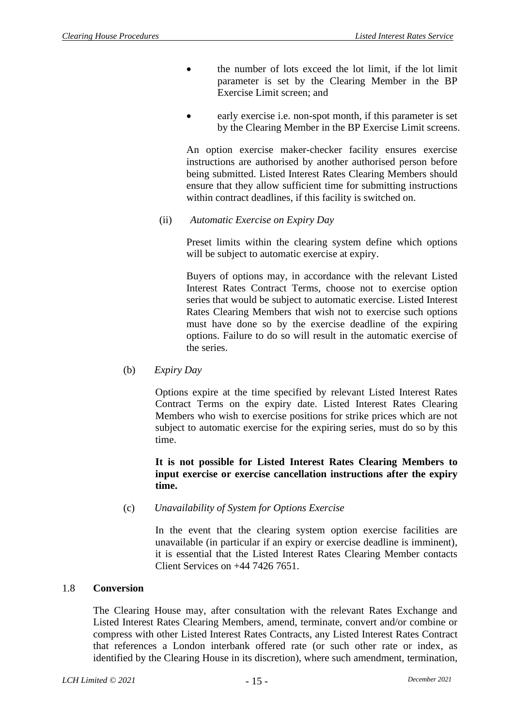- the number of lots exceed the lot limit, if the lot limit parameter is set by the Clearing Member in the BP Exercise Limit screen; and
- early exercise i.e. non-spot month, if this parameter is set by the Clearing Member in the BP Exercise Limit screens.

An option exercise maker-checker facility ensures exercise instructions are authorised by another authorised person before being submitted. Listed Interest Rates Clearing Members should ensure that they allow sufficient time for submitting instructions within contract deadlines, if this facility is switched on.

(ii) *Automatic Exercise on Expiry Day*

Preset limits within the clearing system define which options will be subject to automatic exercise at expiry.

Buyers of options may, in accordance with the relevant Listed Interest Rates Contract Terms, choose not to exercise option series that would be subject to automatic exercise. Listed Interest Rates Clearing Members that wish not to exercise such options must have done so by the exercise deadline of the expiring options. Failure to do so will result in the automatic exercise of the series.

(b) *Expiry Day*

Options expire at the time specified by relevant Listed Interest Rates Contract Terms on the expiry date. Listed Interest Rates Clearing Members who wish to exercise positions for strike prices which are not subject to automatic exercise for the expiring series, must do so by this time.

### **It is not possible for Listed Interest Rates Clearing Members to input exercise or exercise cancellation instructions after the expiry time.**

(c) *Unavailability of System for Options Exercise*

In the event that the clearing system option exercise facilities are unavailable (in particular if an expiry or exercise deadline is imminent), it is essential that the Listed Interest Rates Clearing Member contacts Client Services on +44 7426 7651.

## 1.8 **Conversion**

The Clearing House may, after consultation with the relevant Rates Exchange and Listed Interest Rates Clearing Members, amend, terminate, convert and/or combine or compress with other Listed Interest Rates Contracts, any Listed Interest Rates Contract that references a London interbank offered rate (or such other rate or index, as identified by the Clearing House in its discretion), where such amendment, termination,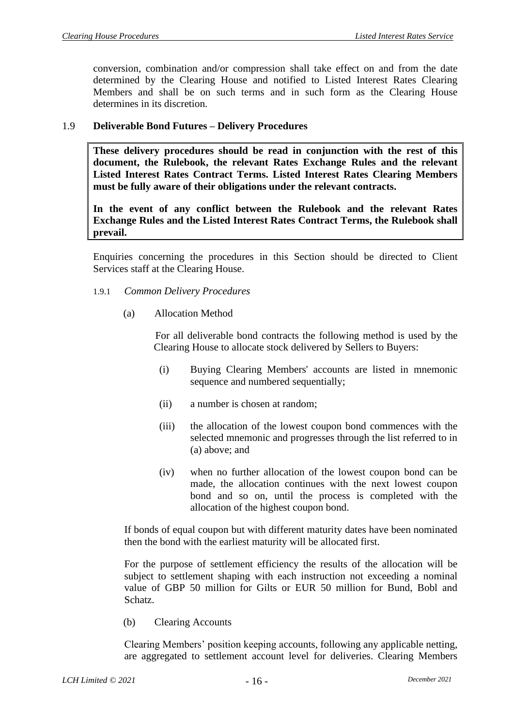conversion, combination and/or compression shall take effect on and from the date determined by the Clearing House and notified to Listed Interest Rates Clearing Members and shall be on such terms and in such form as the Clearing House determines in its discretion.

#### 1.9 **Deliverable Bond Futures – Delivery Procedures**

**These delivery procedures should be read in conjunction with the rest of this document, the Rulebook, the relevant Rates Exchange Rules and the relevant Listed Interest Rates Contract Terms. Listed Interest Rates Clearing Members must be fully aware of their obligations under the relevant contracts.**

**In the event of any conflict between the Rulebook and the relevant Rates Exchange Rules and the Listed Interest Rates Contract Terms, the Rulebook shall prevail.**

Enquiries concerning the procedures in this Section should be directed to Client Services staff at the Clearing House.

- 1.9.1 *Common Delivery Procedures*
	- (a) Allocation Method

For all deliverable bond contracts the following method is used by the Clearing House to allocate stock delivered by Sellers to Buyers:

- (i) Buying Clearing Members' accounts are listed in mnemonic sequence and numbered sequentially;
- (ii) a number is chosen at random;
- (iii) the allocation of the lowest coupon bond commences with the selected mnemonic and progresses through the list referred to in (a) above; and
- (iv) when no further allocation of the lowest coupon bond can be made, the allocation continues with the next lowest coupon bond and so on, until the process is completed with the allocation of the highest coupon bond.

If bonds of equal coupon but with different maturity dates have been nominated then the bond with the earliest maturity will be allocated first.

For the purpose of settlement efficiency the results of the allocation will be subject to settlement shaping with each instruction not exceeding a nominal value of GBP 50 million for Gilts or EUR 50 million for Bund, Bobl and Schatz.

(b) Clearing Accounts

Clearing Members' position keeping accounts, following any applicable netting, are aggregated to settlement account level for deliveries. Clearing Members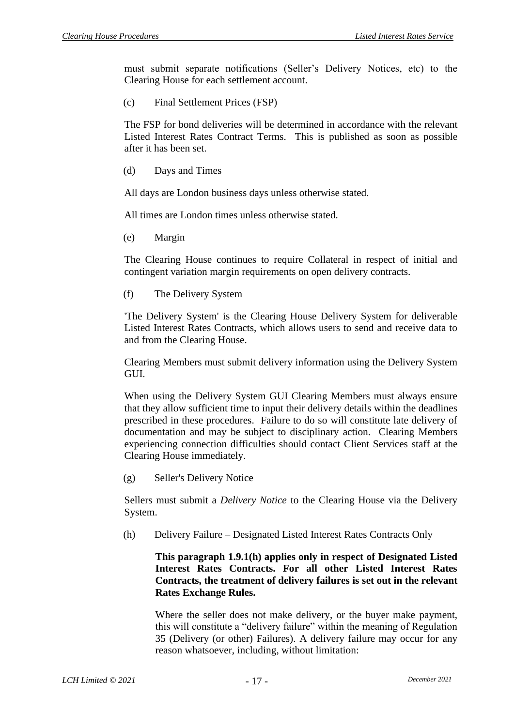must submit separate notifications (Seller's Delivery Notices, etc) to the Clearing House for each settlement account.

(c) Final Settlement Prices (FSP)

The FSP for bond deliveries will be determined in accordance with the relevant Listed Interest Rates Contract Terms. This is published as soon as possible after it has been set.

(d) Days and Times

All days are London business days unless otherwise stated.

All times are London times unless otherwise stated.

(e) Margin

The Clearing House continues to require Collateral in respect of initial and contingent variation margin requirements on open delivery contracts.

(f) The Delivery System

'The Delivery System' is the Clearing House Delivery System for deliverable Listed Interest Rates Contracts, which allows users to send and receive data to and from the Clearing House.

Clearing Members must submit delivery information using the Delivery System GUI.

When using the Delivery System GUI Clearing Members must always ensure that they allow sufficient time to input their delivery details within the deadlines prescribed in these procedures. Failure to do so will constitute late delivery of documentation and may be subject to disciplinary action. Clearing Members experiencing connection difficulties should contact Client Services staff at the Clearing House immediately.

(g) Seller's Delivery Notice

Sellers must submit a *Delivery Notice* to the Clearing House via the Delivery System.

(h) Delivery Failure – Designated Listed Interest Rates Contracts Only

**This paragraph 1.9.1(h) applies only in respect of Designated Listed Interest Rates Contracts. For all other Listed Interest Rates Contracts, the treatment of delivery failures is set out in the relevant Rates Exchange Rules.**

Where the seller does not make delivery, or the buyer make payment, this will constitute a "delivery failure" within the meaning of Regulation 35 (Delivery (or other) Failures). A delivery failure may occur for any reason whatsoever, including, without limitation: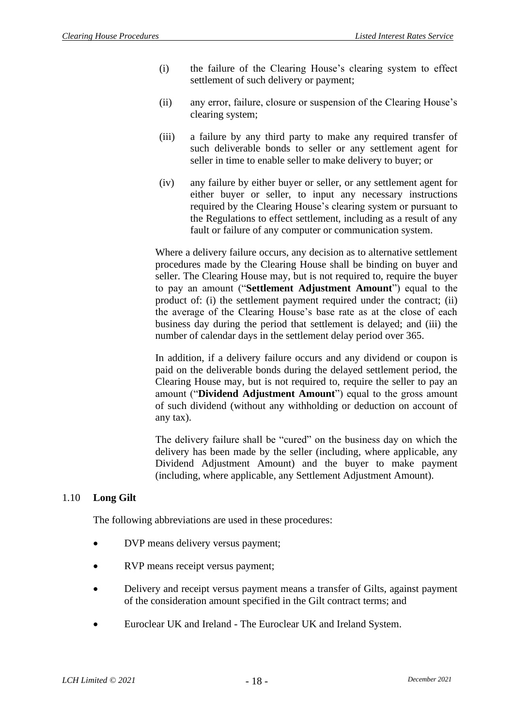- (i) the failure of the Clearing House's clearing system to effect settlement of such delivery or payment;
- (ii) any error, failure, closure or suspension of the Clearing House's clearing system;
- (iii) a failure by any third party to make any required transfer of such deliverable bonds to seller or any settlement agent for seller in time to enable seller to make delivery to buyer; or
- (iv) any failure by either buyer or seller, or any settlement agent for either buyer or seller, to input any necessary instructions required by the Clearing House's clearing system or pursuant to the Regulations to effect settlement, including as a result of any fault or failure of any computer or communication system.

Where a delivery failure occurs, any decision as to alternative settlement procedures made by the Clearing House shall be binding on buyer and seller. The Clearing House may, but is not required to, require the buyer to pay an amount ("**Settlement Adjustment Amount**") equal to the product of: (i) the settlement payment required under the contract; (ii) the average of the Clearing House's base rate as at the close of each business day during the period that settlement is delayed; and (iii) the number of calendar days in the settlement delay period over 365.

In addition, if a delivery failure occurs and any dividend or coupon is paid on the deliverable bonds during the delayed settlement period, the Clearing House may, but is not required to, require the seller to pay an amount ("**Dividend Adjustment Amount**") equal to the gross amount of such dividend (without any withholding or deduction on account of any tax).

The delivery failure shall be "cured" on the business day on which the delivery has been made by the seller (including, where applicable, any Dividend Adjustment Amount) and the buyer to make payment (including, where applicable, any Settlement Adjustment Amount).

## 1.10 **Long Gilt**

The following abbreviations are used in these procedures:

- DVP means delivery versus payment;
- RVP means receipt versus payment;
- Delivery and receipt versus payment means a transfer of Gilts, against payment of the consideration amount specified in the Gilt contract terms; and
- Euroclear UK and Ireland The Euroclear UK and Ireland System.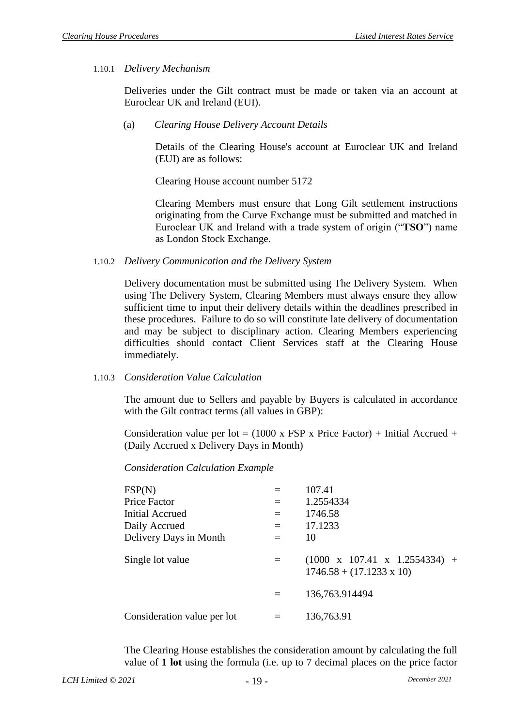### 1.10.1 *Delivery Mechanism*

Deliveries under the Gilt contract must be made or taken via an account at Euroclear UK and Ireland (EUI).

(a) *Clearing House Delivery Account Details*

Details of the Clearing House's account at Euroclear UK and Ireland (EUI) are as follows:

Clearing House account number 5172

Clearing Members must ensure that Long Gilt settlement instructions originating from the Curve Exchange must be submitted and matched in Euroclear UK and Ireland with a trade system of origin ("**TSO**") name as London Stock Exchange.

### 1.10.2 *Delivery Communication and the Delivery System*

Delivery documentation must be submitted using The Delivery System. When using The Delivery System, Clearing Members must always ensure they allow sufficient time to input their delivery details within the deadlines prescribed in these procedures. Failure to do so will constitute late delivery of documentation and may be subject to disciplinary action. Clearing Members experiencing difficulties should contact Client Services staff at the Clearing House immediately.

#### 1.10.3 *Consideration Value Calculation*

The amount due to Sellers and payable by Buyers is calculated in accordance with the Gilt contract terms (all values in GBP):

Consideration value per lot =  $(1000 \times FSP \times Price Factor) + Initial Accrued +$ (Daily Accrued x Delivery Days in Month)

*Consideration Calculation Example*

| FSP(N)                      |     | 107.41                                                                       |
|-----------------------------|-----|------------------------------------------------------------------------------|
| Price Factor                | $=$ | 1.2554334                                                                    |
| <b>Initial Accrued</b>      | $=$ | 1746.58                                                                      |
| Daily Accrued               | $=$ | 17.1233                                                                      |
| Delivery Days in Month      | $=$ | 10                                                                           |
| Single lot value            |     | $(1000 \times 107.41 \times 1.2554334) +$<br>$1746.58 + (17.1233 \times 10)$ |
|                             | $=$ | 136,763.914494                                                               |
| Consideration value per lot |     | 136,763.91                                                                   |

The Clearing House establishes the consideration amount by calculating the full value of **1 lot** using the formula (i.e. up to 7 decimal places on the price factor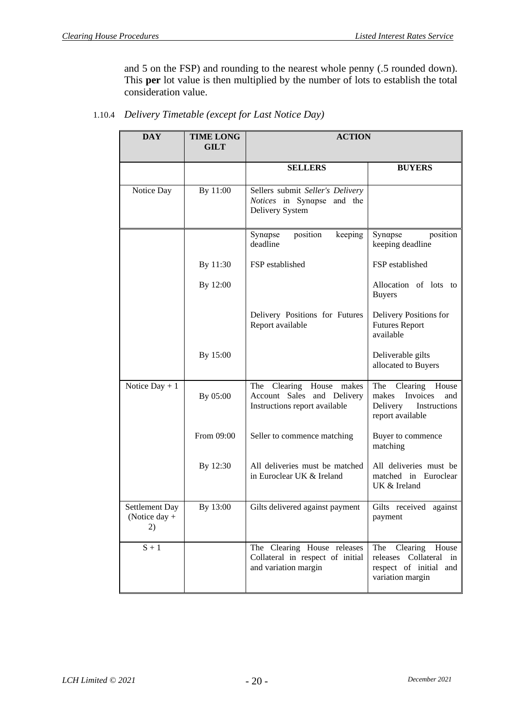and 5 on the FSP) and rounding to the nearest whole penny (.5 rounded down). This **per** lot value is then multiplied by the number of lots to establish the total consideration value.

| <b>DAY</b>                                   | <b>TIME LONG</b><br><b>GILT</b> | <b>ACTION</b>                                                                              |                                                                                                      |
|----------------------------------------------|---------------------------------|--------------------------------------------------------------------------------------------|------------------------------------------------------------------------------------------------------|
|                                              |                                 | <b>SELLERS</b>                                                                             | <b>BUYERS</b>                                                                                        |
| Notice Day                                   | By 11:00                        | Sellers submit Seller's Delivery<br>Notices in Synapse and the<br>Delivery System          |                                                                                                      |
|                                              |                                 | Synapse<br>position<br>keeping<br>deadline                                                 | Synapse<br>position<br>keeping deadline                                                              |
|                                              | By 11:30                        | FSP established                                                                            | FSP established                                                                                      |
|                                              | By 12:00                        |                                                                                            | Allocation of lots to<br><b>Buyers</b>                                                               |
|                                              |                                 | Delivery Positions for Futures<br>Report available                                         | Delivery Positions for<br><b>Futures Report</b><br>available                                         |
|                                              | By 15:00                        |                                                                                            | Deliverable gilts<br>allocated to Buyers                                                             |
| Notice $Day + 1$                             | By 05:00                        | The Clearing House<br>makes<br>Account Sales and Delivery<br>Instructions report available | Clearing<br>The<br>House<br>Invoices<br>makes<br>and<br>Delivery<br>Instructions<br>report available |
|                                              | From 09:00                      | Seller to commence matching                                                                | Buyer to commence<br>matching                                                                        |
|                                              | By 12:30                        | All deliveries must be matched<br>in Euroclear UK & Ireland                                | All deliveries must be<br>matched in Euroclear<br>UK & Ireland                                       |
| <b>Settlement Day</b><br>(Notice day +<br>2) | By 13:00                        | Gilts delivered against payment                                                            | Gilts received against<br>payment                                                                    |
| $S + 1$                                      |                                 | The Clearing House releases<br>Collateral in respect of initial<br>and variation margin    | The<br>Clearing<br>House<br>releases Collateral in<br>respect of initial and<br>variation margin     |

1.10.4 *Delivery Timetable (except for Last Notice Day)*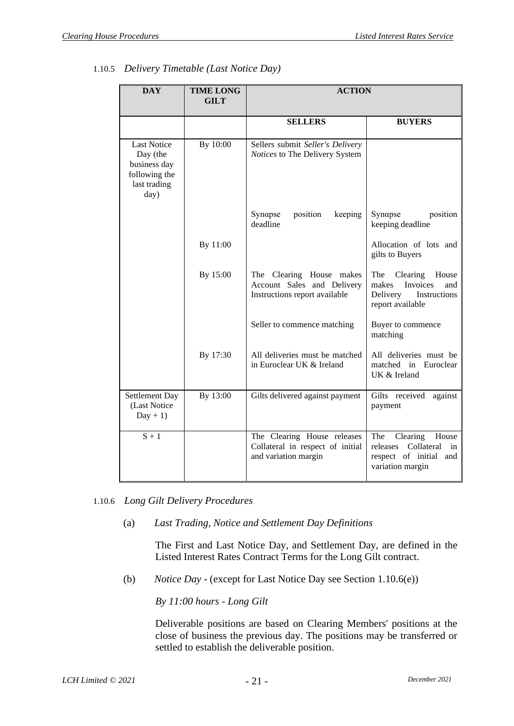| <b>DAY</b>                                                                              | <b>TIME LONG</b><br><b>GILT</b> | <b>ACTION</b>                                                                           |                                                                                                        |
|-----------------------------------------------------------------------------------------|---------------------------------|-----------------------------------------------------------------------------------------|--------------------------------------------------------------------------------------------------------|
|                                                                                         |                                 | <b>SELLERS</b>                                                                          | <b>BUYERS</b>                                                                                          |
| <b>Last Notice</b><br>Day (the<br>business day<br>following the<br>last trading<br>day) | By 10:00                        | Sellers submit Seller's Delivery<br>Notices to The Delivery System                      |                                                                                                        |
|                                                                                         |                                 | position<br>Synapse<br>keeping<br>deadline                                              | Synapse<br>position<br>keeping deadline                                                                |
|                                                                                         | By 11:00                        |                                                                                         | Allocation of lots and<br>gilts to Buyers                                                              |
|                                                                                         | By 15:00                        | The Clearing House makes<br>Account Sales and Delivery<br>Instructions report available | The<br>Clearing<br>House<br>Invoices<br>makes<br>and<br>Delivery<br>Instructions<br>report available   |
|                                                                                         |                                 | Seller to commence matching                                                             | Buyer to commence<br>matching                                                                          |
|                                                                                         | By 17:30                        | All deliveries must be matched<br>in Euroclear UK & Ireland                             | All deliveries must be<br>matched in Euroclear<br>UK & Ireland                                         |
| Settlement Day<br>(Last Notice<br>$Day + 1)$                                            | By 13:00                        | Gilts delivered against payment                                                         | Gilts received<br>against<br>payment                                                                   |
| $S + 1$                                                                                 |                                 | The Clearing House releases<br>Collateral in respect of initial<br>and variation margin | The<br>Clearing<br>House<br>Collateral<br>releases<br>in<br>respect of initial and<br>variation margin |

1.10.5 *Delivery Timetable (Last Notice Day)*

- 1.10.6 *Long Gilt Delivery Procedures*
	- (a) *Last Trading, Notice and Settlement Day Definitions*

The First and Last Notice Day, and Settlement Day, are defined in the Listed Interest Rates Contract Terms for the Long Gilt contract.

(b) *Notice Day* - (except for Last Notice Day see Section [1.10.6\(e\)\)](#page-24-0)

*By 11:00 hours - Long Gilt*

Deliverable positions are based on Clearing Members' positions at the close of business the previous day. The positions may be transferred or settled to establish the deliverable position.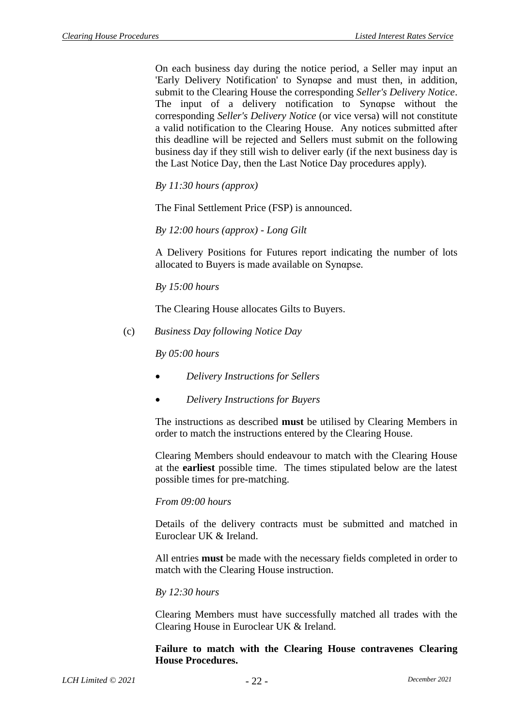On each business day during the notice period, a Seller may input an 'Early Delivery Notification' to Synαpse and must then, in addition, submit to the Clearing House the corresponding *Seller's Delivery Notice*. The input of a delivery notification to Synαpse without the corresponding *Seller's Delivery Notice* (or vice versa) will not constitute a valid notification to the Clearing House. Any notices submitted after this deadline will be rejected and Sellers must submit on the following business day if they still wish to deliver early (if the next business day is the Last Notice Day, then the Last Notice Day procedures apply).

*By 11:30 hours (approx)*

The Final Settlement Price (FSP) is announced.

*By 12:00 hours (approx) - Long Gilt*

A Delivery Positions for Futures report indicating the number of lots allocated to Buyers is made available on Synαpse.

*By 15:00 hours*

The Clearing House allocates Gilts to Buyers.

(c) *Business Day following Notice Day*

*By 05:00 hours*

- *Delivery Instructions for Sellers*
- *Delivery Instructions for Buyers*

The instructions as described **must** be utilised by Clearing Members in order to match the instructions entered by the Clearing House.

Clearing Members should endeavour to match with the Clearing House at the **earliest** possible time. The times stipulated below are the latest possible times for pre-matching.

#### *From 09:00 hours*

Details of the delivery contracts must be submitted and matched in Euroclear UK & Ireland.

All entries **must** be made with the necessary fields completed in order to match with the Clearing House instruction.

#### *By 12:30 hours*

Clearing Members must have successfully matched all trades with the Clearing House in Euroclear UK & Ireland.

#### **Failure to match with the Clearing House contravenes Clearing House Procedures.**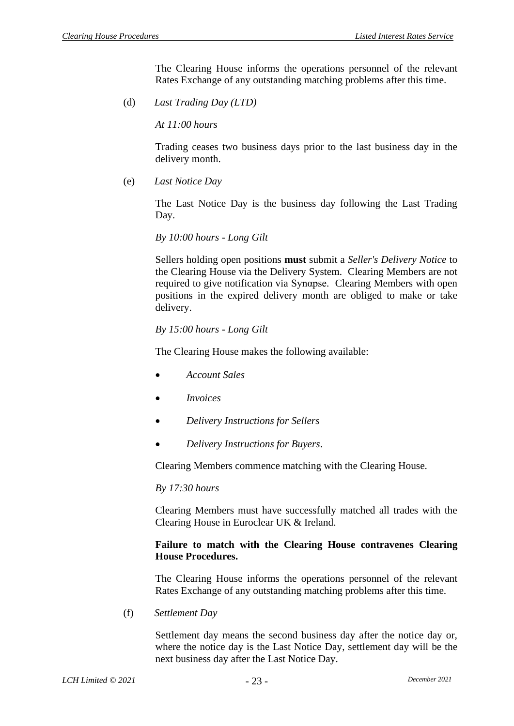The Clearing House informs the operations personnel of the relevant Rates Exchange of any outstanding matching problems after this time.

(d) *Last Trading Day (LTD)*

*At 11:00 hours*

Trading ceases two business days prior to the last business day in the delivery month.

<span id="page-24-0"></span>(e) *Last Notice Day*

The Last Notice Day is the business day following the Last Trading Day.

*By 10:00 hours - Long Gilt*

Sellers holding open positions **must** submit a *Seller's Delivery Notice* to the Clearing House via the Delivery System. Clearing Members are not required to give notification via Synαpse. Clearing Members with open positions in the expired delivery month are obliged to make or take delivery.

#### *By 15:00 hours - Long Gilt*

The Clearing House makes the following available:

- *Account Sales*
- *Invoices*
- *Delivery Instructions for Sellers*
- *Delivery Instructions for Buyers*.

Clearing Members commence matching with the Clearing House.

#### *By 17:30 hours*

Clearing Members must have successfully matched all trades with the Clearing House in Euroclear UK & Ireland.

#### **Failure to match with the Clearing House contravenes Clearing House Procedures.**

The Clearing House informs the operations personnel of the relevant Rates Exchange of any outstanding matching problems after this time.

(f) *Settlement Day*

Settlement day means the second business day after the notice day or, where the notice day is the Last Notice Day, settlement day will be the next business day after the Last Notice Day.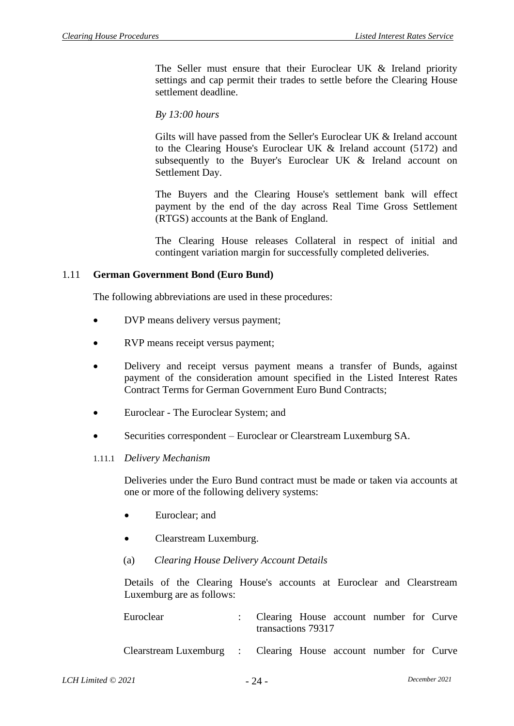The Seller must ensure that their Euroclear UK & Ireland priority settings and cap permit their trades to settle before the Clearing House settlement deadline.

*By 13:00 hours*

Gilts will have passed from the Seller's Euroclear UK & Ireland account to the Clearing House's Euroclear UK & Ireland account (5172) and subsequently to the Buyer's Euroclear UK & Ireland account on Settlement Day.

The Buyers and the Clearing House's settlement bank will effect payment by the end of the day across Real Time Gross Settlement (RTGS) accounts at the Bank of England.

The Clearing House releases Collateral in respect of initial and contingent variation margin for successfully completed deliveries.

#### 1.11 **German Government Bond (Euro Bund)**

The following abbreviations are used in these procedures:

- DVP means delivery versus payment;
- RVP means receipt versus payment;
- Delivery and receipt versus payment means a transfer of Bunds, against payment of the consideration amount specified in the Listed Interest Rates Contract Terms for German Government Euro Bund Contracts;
- Euroclear The Euroclear System; and
- Securities correspondent Euroclear or Clearstream Luxemburg SA.

#### 1.11.1 *Delivery Mechanism*

Deliveries under the Euro Bund contract must be made or taken via accounts at one or more of the following delivery systems:

- Euroclear: and
- Clearstream Luxemburg.
- (a) *Clearing House Delivery Account Details*

Details of the Clearing House's accounts at Euroclear and Clearstream Luxemburg are as follows:

| Euroclear                                                       | : Clearing House account number for Curve<br>transactions 79317 |  |  |  |
|-----------------------------------------------------------------|-----------------------------------------------------------------|--|--|--|
| Clearstream Luxemburg : Clearing House account number for Curve |                                                                 |  |  |  |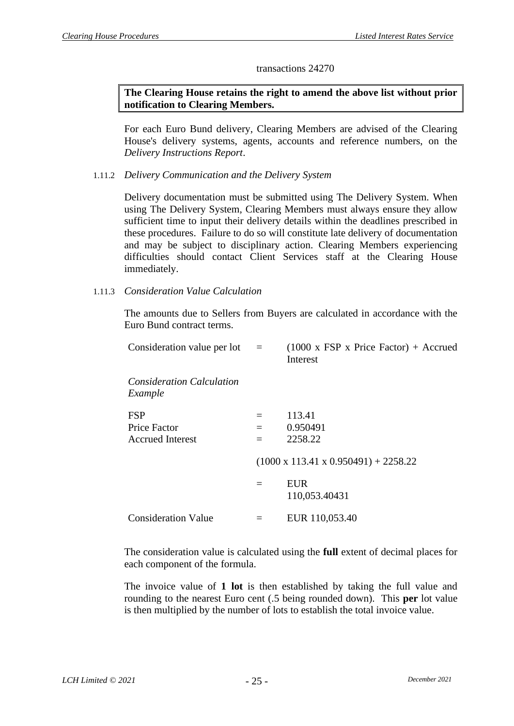#### transactions 24270

### **The Clearing House retains the right to amend the above list without prior notification to Clearing Members.**

For each Euro Bund delivery, Clearing Members are advised of the Clearing House's delivery systems, agents, accounts and reference numbers, on the *Delivery Instructions Report*.

### 1.11.2 *Delivery Communication and the Delivery System*

Delivery documentation must be submitted using The Delivery System. When using The Delivery System, Clearing Members must always ensure they allow sufficient time to input their delivery details within the deadlines prescribed in these procedures. Failure to do so will constitute late delivery of documentation and may be subject to disciplinary action. Clearing Members experiencing difficulties should contact Client Services staff at the Clearing House immediately.

#### 1.11.3 *Consideration Value Calculation*

The amounts due to Sellers from Buyers are calculated in accordance with the Euro Bund contract terms.

| Consideration value per lot $=$                              |                   | $(1000 \times \text{FSP} \times \text{Price Factor}) + \text{Accrued}$<br>Interest |
|--------------------------------------------------------------|-------------------|------------------------------------------------------------------------------------|
| <i>Consideration Calculation</i><br>Example                  |                   |                                                                                    |
| <b>FSP</b><br><b>Price Factor</b><br><b>Accrued Interest</b> | $=$<br>$=$<br>$=$ | 113.41<br>0.950491<br>2258.22                                                      |
|                                                              |                   | $(1000 \times 113.41 \times 0.950491) + 2258.22$                                   |
|                                                              | $=$               | EUR<br>110,053.40431                                                               |
| <b>Consideration Value</b>                                   | $=$               | EUR 110,053.40                                                                     |

The consideration value is calculated using the **full** extent of decimal places for each component of the formula.

The invoice value of **1 lot** is then established by taking the full value and rounding to the nearest Euro cent (.5 being rounded down). This **per** lot value is then multiplied by the number of lots to establish the total invoice value.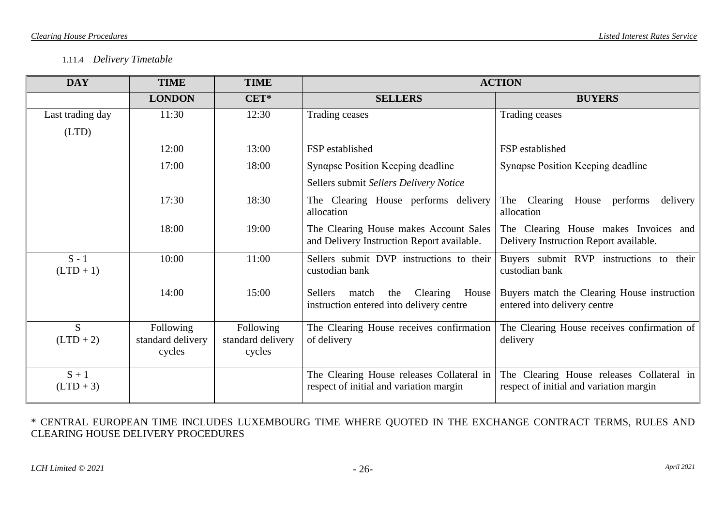## 1.11.4 *Delivery Timetable*

| <b>DAY</b>             | <b>TIME</b>                              | <b>TIME</b>                              | <b>ACTION</b>                                                                            |                                                                                      |  |
|------------------------|------------------------------------------|------------------------------------------|------------------------------------------------------------------------------------------|--------------------------------------------------------------------------------------|--|
|                        | <b>LONDON</b>                            | CET*                                     | <b>SELLERS</b>                                                                           | <b>BUYERS</b>                                                                        |  |
| Last trading day       | 11:30                                    | 12:30                                    | Trading ceases                                                                           | Trading ceases                                                                       |  |
| (LTD)                  |                                          |                                          |                                                                                          |                                                                                      |  |
|                        | 12:00                                    | 13:00                                    | FSP established                                                                          | FSP established                                                                      |  |
|                        | 17:00                                    | 18:00                                    | Synapse Position Keeping deadline                                                        | Synαpse Position Keeping deadline                                                    |  |
|                        |                                          |                                          | Sellers submit Sellers Delivery Notice                                                   |                                                                                      |  |
|                        | 17:30                                    | 18:30                                    | The Clearing House performs delivery<br>allocation                                       | The Clearing House performs<br>delivery<br>allocation                                |  |
|                        | 18:00                                    | 19:00                                    | The Clearing House makes Account Sales<br>and Delivery Instruction Report available.     | The Clearing House makes Invoices and<br>Delivery Instruction Report available.      |  |
| $S - 1$<br>$(LTD + 1)$ | 10:00                                    | 11:00                                    | Sellers submit DVP instructions to their<br>custodian bank                               | Buyers submit RVP instructions to their<br>custodian bank                            |  |
|                        | 14:00                                    | 15:00                                    | Clearing<br>Sellers<br>match<br>the<br>House<br>instruction entered into delivery centre | Buyers match the Clearing House instruction<br>entered into delivery centre          |  |
| S<br>$(LTD + 2)$       | Following<br>standard delivery<br>cycles | Following<br>standard delivery<br>cycles | The Clearing House receives confirmation<br>of delivery                                  | The Clearing House receives confirmation of<br>delivery                              |  |
| $S + 1$<br>$(LTD + 3)$ |                                          |                                          | The Clearing House releases Collateral in<br>respect of initial and variation margin     | The Clearing House releases Collateral in<br>respect of initial and variation margin |  |

\* CENTRAL EUROPEAN TIME INCLUDES LUXEMBOURG TIME WHERE QUOTED IN THE EXCHANGE CONTRACT TERMS, RULES AND CLEARING HOUSE DELIVERY PROCEDURES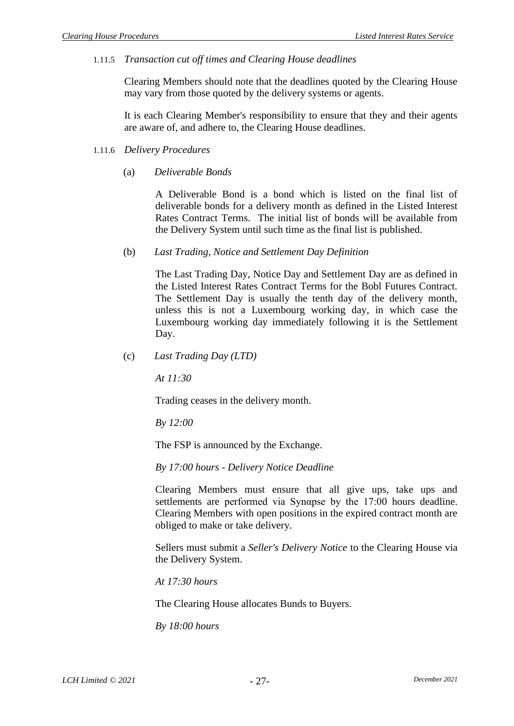1.11.5 *Transaction cut off times and Clearing House deadlines*

Clearing Members should note that the deadlines quoted by the Clearing House may vary from those quoted by the delivery systems or agents.

It is each Clearing Member's responsibility to ensure that they and their agents are aware of, and adhere to, the Clearing House deadlines.

- 1.11.6 *Delivery Procedures*
	- (a) *Deliverable Bonds*

A Deliverable Bond is a bond which is listed on the final list of deliverable bonds for a delivery month as defined in the Listed Interest Rates Contract Terms. The initial list of bonds will be available from the Delivery System until such time as the final list is published.

(b) *Last Trading, Notice and Settlement Day Definition*

The Last Trading Day, Notice Day and Settlement Day are as defined in the Listed Interest Rates Contract Terms for the Bobl Futures Contract. The Settlement Day is usually the tenth day of the delivery month, unless this is not a Luxembourg working day, in which case the Luxembourg working day immediately following it is the Settlement Day.

(c) *Last Trading Day (LTD)*

*At 11:30*

Trading ceases in the delivery month.

*By 12:00*

The FSP is announced by the Exchange.

*By 17:00 hours - Delivery Notice Deadline*

Clearing Members must ensure that all give ups, take ups and settlements are performed via Synαpse by the 17:00 hours deadline. Clearing Members with open positions in the expired contract month are obliged to make or take delivery.

Sellers must submit a *Seller's Delivery Notice* to the Clearing House via the Delivery System.

*At 17:30 hours*

The Clearing House allocates Bunds to Buyers.

*By 18:00 hours*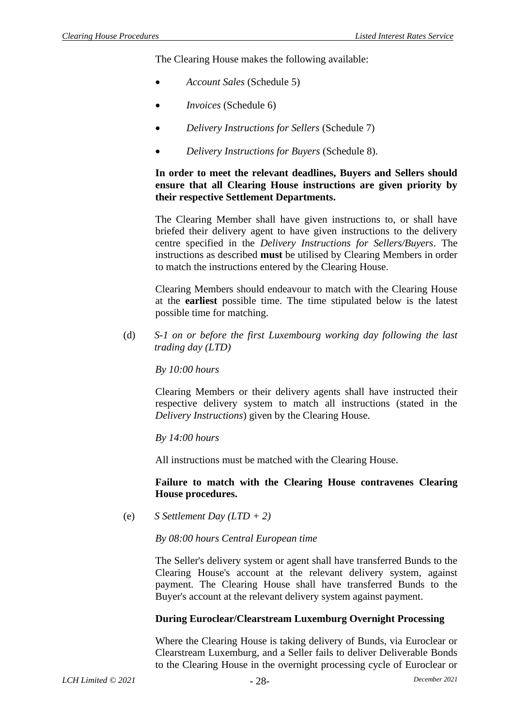The Clearing House makes the following available:

- *Account Sales* [\(Schedule 5\)](#page-50-0)
- *Invoices* [\(Schedule 6\)](#page-51-0)
- *Delivery Instructions for Sellers* [\(Schedule 7\)](#page-52-0)
- *Delivery Instructions for Buyers* [\(Schedule 8\)](#page-53-0).

### **In order to meet the relevant deadlines, Buyers and Sellers should ensure that all Clearing House instructions are given priority by their respective Settlement Departments.**

The Clearing Member shall have given instructions to, or shall have briefed their delivery agent to have given instructions to the delivery centre specified in the *Delivery Instructions for Sellers/Buyers*. The instructions as described **must** be utilised by Clearing Members in order to match the instructions entered by the Clearing House.

Clearing Members should endeavour to match with the Clearing House at the **earliest** possible time. The time stipulated below is the latest possible time for matching.

(d) *S-1 on or before the first Luxembourg working day following the last trading day (LTD)*

*By 10:00 hours*

Clearing Members or their delivery agents shall have instructed their respective delivery system to match all instructions (stated in the *Delivery Instructions*) given by the Clearing House.

*By 14:00 hours*

All instructions must be matched with the Clearing House.

#### **Failure to match with the Clearing House contravenes Clearing House procedures.**

(e) *S Settlement Day (LTD + 2)*

*By 08:00 hours Central European time*

The Seller's delivery system or agent shall have transferred Bunds to the Clearing House's account at the relevant delivery system, against payment. The Clearing House shall have transferred Bunds to the Buyer's account at the relevant delivery system against payment.

## **During Euroclear/Clearstream Luxemburg Overnight Processing**

Where the Clearing House is taking delivery of Bunds, via Euroclear or Clearstream Luxemburg, and a Seller fails to deliver Deliverable Bonds to the Clearing House in the overnight processing cycle of Euroclear or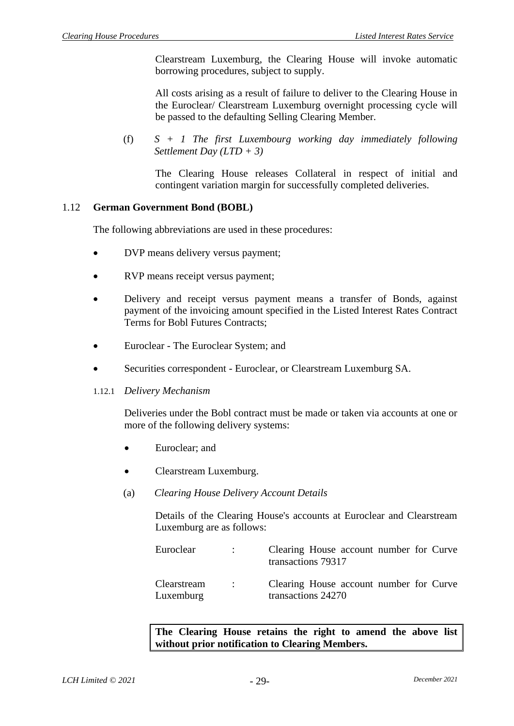Clearstream Luxemburg, the Clearing House will invoke automatic borrowing procedures, subject to supply.

All costs arising as a result of failure to deliver to the Clearing House in the Euroclear/ Clearstream Luxemburg overnight processing cycle will be passed to the defaulting Selling Clearing Member.

(f) *S + 1 The first Luxembourg working day immediately following Settlement Day (LTD + 3)*

The Clearing House releases Collateral in respect of initial and contingent variation margin for successfully completed deliveries.

### 1.12 **German Government Bond (BOBL)**

The following abbreviations are used in these procedures:

- DVP means delivery versus payment;
- RVP means receipt versus payment;
- Delivery and receipt versus payment means a transfer of Bonds, against payment of the invoicing amount specified in the Listed Interest Rates Contract Terms for Bobl Futures Contracts;
- Euroclear The Euroclear System; and
- Securities correspondent Euroclear, or Clearstream Luxemburg SA.

#### 1.12.1 *Delivery Mechanism*

Deliveries under the Bobl contract must be made or taken via accounts at one or more of the following delivery systems:

- Euroclear: and
- Clearstream Luxemburg.
- (a) *Clearing House Delivery Account Details*

Details of the Clearing House's accounts at Euroclear and Clearstream Luxemburg are as follows:

| Euroclear                | $\mathcal{L}(\mathcal{L})$   | Clearing House account number for Curve<br>transactions 79317 |  |
|--------------------------|------------------------------|---------------------------------------------------------------|--|
| Clearstream<br>Luxemburg | $\sim$ 100 $\sim$ 100 $\sim$ | Clearing House account number for Curve<br>transactions 24270 |  |

**The Clearing House retains the right to amend the above list without prior notification to Clearing Members.**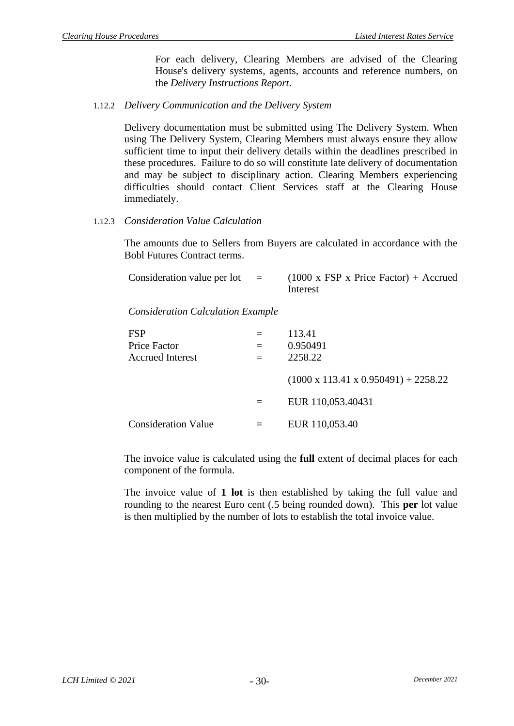For each delivery, Clearing Members are advised of the Clearing House's delivery systems*,* agents, accounts and reference numbers, on the *Delivery Instructions Report*.

1.12.2 *Delivery Communication and the Delivery System*

Delivery documentation must be submitted using The Delivery System. When using The Delivery System, Clearing Members must always ensure they allow sufficient time to input their delivery details within the deadlines prescribed in these procedures. Failure to do so will constitute late delivery of documentation and may be subject to disciplinary action. Clearing Members experiencing difficulties should contact Client Services staff at the Clearing House immediately.

### 1.12.3 *Consideration Value Calculation*

The amounts due to Sellers from Buyers are calculated in accordance with the Bobl Futures Contract terms.

| Consideration value per lot | in a complete the second series of the series of the series of the series of the series of the series of the series of the series of the series of the series of the series of the series of the series of the series of the s | $(1000 \times FSP \times Price Factor) + Accrued$ |
|-----------------------------|--------------------------------------------------------------------------------------------------------------------------------------------------------------------------------------------------------------------------------|---------------------------------------------------|
|                             |                                                                                                                                                                                                                                | Interest                                          |

*Consideration Calculation Example*

| <b>FSP</b>                 |     | 113.41                                           |
|----------------------------|-----|--------------------------------------------------|
| <b>Price Factor</b>        |     | 0.950491                                         |
| <b>Accrued Interest</b>    | $=$ | 2258.22                                          |
|                            |     | $(1000 \times 113.41 \times 0.950491) + 2258.22$ |
|                            | $=$ | EUR 110,053.40431                                |
| <b>Consideration Value</b> |     | EUR 110,053.40                                   |

The invoice value is calculated using the **full** extent of decimal places for each component of the formula.

The invoice value of **1 lot** is then established by taking the full value and rounding to the nearest Euro cent (.5 being rounded down). This **per** lot value is then multiplied by the number of lots to establish the total invoice value.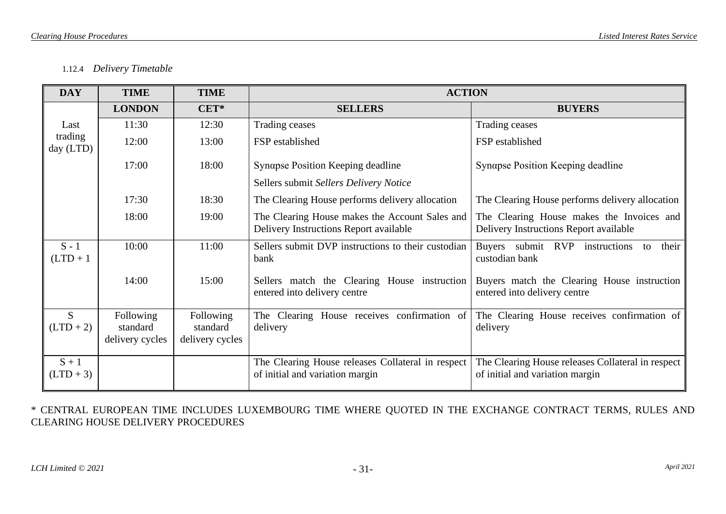## 1.12.4 *Delivery Timetable*

| <b>DAY</b>             | <b>TIME</b>                              | <b>TIME</b>                              | <b>ACTION</b>                                                                            |                                                                                      |
|------------------------|------------------------------------------|------------------------------------------|------------------------------------------------------------------------------------------|--------------------------------------------------------------------------------------|
|                        | <b>LONDON</b>                            | $CET*$                                   | <b>SELLERS</b>                                                                           | <b>BUYERS</b>                                                                        |
| Last                   | 11:30                                    | 12:30                                    | Trading ceases                                                                           | Trading ceases                                                                       |
| trading<br>day (LTD)   | 12:00                                    | 13:00                                    | FSP established                                                                          | FSP established                                                                      |
|                        | 17:00                                    | 18:00                                    | Synapse Position Keeping deadline                                                        | Synapse Position Keeping deadline                                                    |
|                        |                                          |                                          | Sellers submit Sellers Delivery Notice                                                   |                                                                                      |
|                        | 17:30                                    | 18:30                                    | The Clearing House performs delivery allocation                                          | The Clearing House performs delivery allocation                                      |
|                        | 18:00                                    | 19:00                                    | The Clearing House makes the Account Sales and<br>Delivery Instructions Report available | The Clearing House makes the Invoices and<br>Delivery Instructions Report available  |
| $S - 1$<br>$(LTD + 1)$ | 10:00                                    | 11:00                                    | Sellers submit DVP instructions to their custodian<br>bank                               | Buyers submit RVP instructions<br>their<br>to<br>custodian bank                      |
|                        | 14:00                                    | 15:00                                    | Sellers match the Clearing House instruction<br>entered into delivery centre             | Buyers match the Clearing House instruction<br>entered into delivery centre          |
| S<br>$(LTD + 2)$       | Following<br>standard<br>delivery cycles | Following<br>standard<br>delivery cycles | The Clearing House receives confirmation of<br>delivery                                  | The Clearing House receives confirmation of<br>delivery                              |
| $S + 1$<br>$(LTD + 3)$ |                                          |                                          | The Clearing House releases Collateral in respect<br>of initial and variation margin     | The Clearing House releases Collateral in respect<br>of initial and variation margin |

\* CENTRAL EUROPEAN TIME INCLUDES LUXEMBOURG TIME WHERE QUOTED IN THE EXCHANGE CONTRACT TERMS, RULES AND CLEARING HOUSE DELIVERY PROCEDURES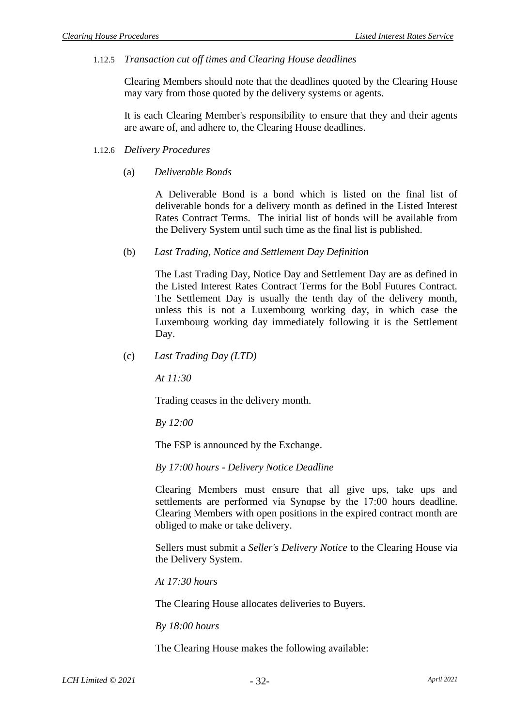1.12.5 *Transaction cut off times and Clearing House deadlines*

Clearing Members should note that the deadlines quoted by the Clearing House may vary from those quoted by the delivery systems or agents.

It is each Clearing Member's responsibility to ensure that they and their agents are aware of, and adhere to, the Clearing House deadlines.

- 1.12.6 *Delivery Procedures*
	- (a) *Deliverable Bonds*

A Deliverable Bond is a bond which is listed on the final list of deliverable bonds for a delivery month as defined in the Listed Interest Rates Contract Terms. The initial list of bonds will be available from the Delivery System until such time as the final list is published.

(b) *Last Trading, Notice and Settlement Day Definition*

The Last Trading Day, Notice Day and Settlement Day are as defined in the Listed Interest Rates Contract Terms for the Bobl Futures Contract. The Settlement Day is usually the tenth day of the delivery month, unless this is not a Luxembourg working day, in which case the Luxembourg working day immediately following it is the Settlement Day.

(c) *Last Trading Day (LTD)*

*At 11:30*

Trading ceases in the delivery month.

*By 12:00*

The FSP is announced by the Exchange.

*By 17:00 hours - Delivery Notice Deadline*

Clearing Members must ensure that all give ups, take ups and settlements are performed via Synαpse by the 17:00 hours deadline. Clearing Members with open positions in the expired contract month are obliged to make or take delivery.

Sellers must submit a *Seller's Delivery Notice* to the Clearing House via the Delivery System.

*At 17:30 hours*

The Clearing House allocates deliveries to Buyers.

*By 18:00 hours*

The Clearing House makes the following available: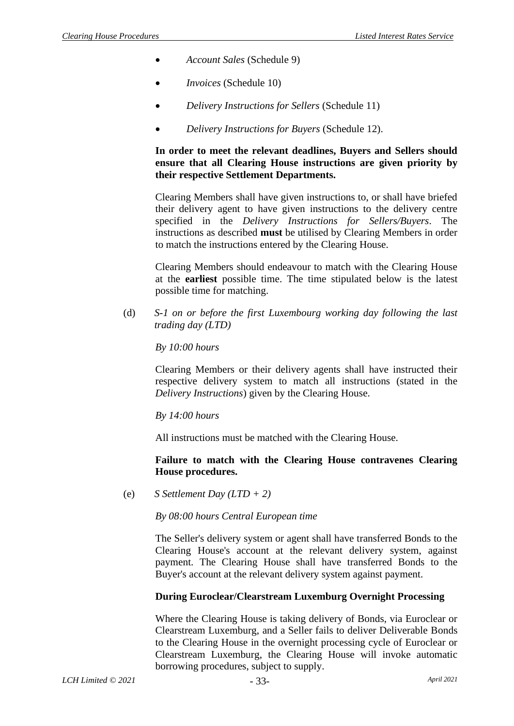- *Account Sales* [\(Schedule 9\)](#page-54-0)
- *Invoices* [\(Schedule](#page-55-0) 10)
- *Delivery Instructions for Sellers* [\(Schedule 11\)](#page-56-0)
- *Delivery Instructions for Buyers* [\(Schedule](#page-57-0) 12).

## **In order to meet the relevant deadlines, Buyers and Sellers should ensure that all Clearing House instructions are given priority by their respective Settlement Departments.**

Clearing Members shall have given instructions to, or shall have briefed their delivery agent to have given instructions to the delivery centre specified in the *Delivery Instructions for Sellers/Buyers*. The instructions as described **must** be utilised by Clearing Members in order to match the instructions entered by the Clearing House.

Clearing Members should endeavour to match with the Clearing House at the **earliest** possible time. The time stipulated below is the latest possible time for matching.

(d) *S-1 on or before the first Luxembourg working day following the last trading day (LTD)*

### *By 10:00 hours*

Clearing Members or their delivery agents shall have instructed their respective delivery system to match all instructions (stated in the *Delivery Instructions*) given by the Clearing House.

*By 14:00 hours*

All instructions must be matched with the Clearing House.

### **Failure to match with the Clearing House contravenes Clearing House procedures.**

(e) *S Settlement Day (LTD + 2)*

*By 08:00 hours Central European time*

The Seller's delivery system or agent shall have transferred Bonds to the Clearing House's account at the relevant delivery system, against payment. The Clearing House shall have transferred Bonds to the Buyer's account at the relevant delivery system against payment.

## **During Euroclear/Clearstream Luxemburg Overnight Processing**

Where the Clearing House is taking delivery of Bonds, via Euroclear or Clearstream Luxemburg, and a Seller fails to deliver Deliverable Bonds to the Clearing House in the overnight processing cycle of Euroclear or Clearstream Luxemburg, the Clearing House will invoke automatic borrowing procedures, subject to supply.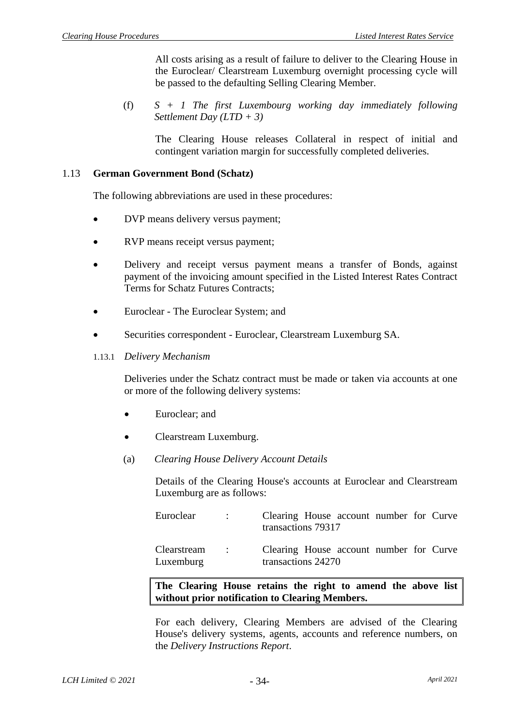All costs arising as a result of failure to deliver to the Clearing House in the Euroclear/ Clearstream Luxemburg overnight processing cycle will be passed to the defaulting Selling Clearing Member.

(f) *S + 1 The first Luxembourg working day immediately following Settlement Day (LTD + 3)*

The Clearing House releases Collateral in respect of initial and contingent variation margin for successfully completed deliveries.

#### 1.13 **German Government Bond (Schatz)**

The following abbreviations are used in these procedures:

- DVP means delivery versus payment;
- RVP means receipt versus payment;
- Delivery and receipt versus payment means a transfer of Bonds, against payment of the invoicing amount specified in the Listed Interest Rates Contract Terms for Schatz Futures Contracts;
- Euroclear The Euroclear System; and
- Securities correspondent Euroclear, Clearstream Luxemburg SA.
- 1.13.1 *Delivery Mechanism*

Deliveries under the Schatz contract must be made or taken via accounts at one or more of the following delivery systems:

- Euroclear; and
- Clearstream Luxemburg.
- (a) *Clearing House Delivery Account Details*

Details of the Clearing House's accounts at Euroclear and Clearstream Luxemburg are as follows:

| Euroclear                | $\sim$ 100 $\sim$ | Clearing House account number for Curve<br>transactions 79317 |  |  |  |
|--------------------------|-------------------|---------------------------------------------------------------|--|--|--|
| Clearstream<br>Luxemburg | $\sim$ 100 $\sim$ | Clearing House account number for Curve<br>transactions 24270 |  |  |  |

**The Clearing House retains the right to amend the above list without prior notification to Clearing Members.**

For each delivery, Clearing Members are advised of the Clearing House's delivery systems*,* agents, accounts and reference numbers, on the *Delivery Instructions Report*.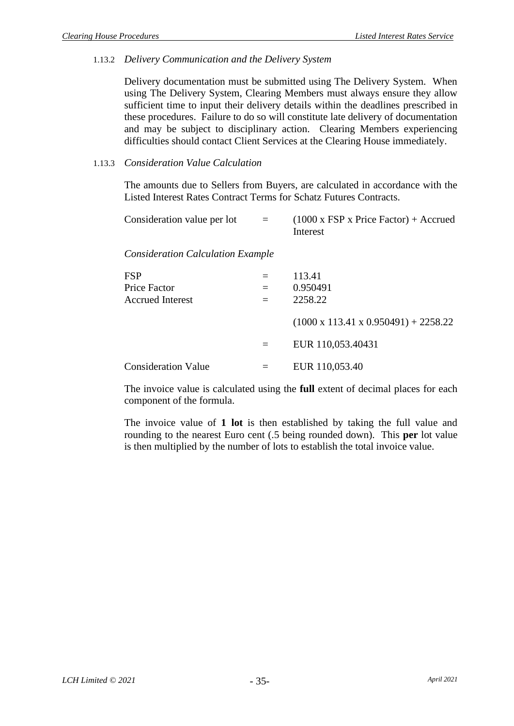### 1.13.2 *Delivery Communication and the Delivery System*

Delivery documentation must be submitted using The Delivery System. When using The Delivery System, Clearing Members must always ensure they allow sufficient time to input their delivery details within the deadlines prescribed in these procedures. Failure to do so will constitute late delivery of documentation and may be subject to disciplinary action. Clearing Members experiencing difficulties should contact Client Services at the Clearing House immediately.

### 1.13.3 *Consideration Value Calculation*

The amounts due to Sellers from Buyers, are calculated in accordance with the Listed Interest Rates Contract Terms for Schatz Futures Contracts.

| Consideration value per lot                           | $=$ | $(1000 \times FSP \times Price Factor) + Accrued$<br>Interest |
|-------------------------------------------------------|-----|---------------------------------------------------------------|
| <b>Consideration Calculation Example</b>              |     |                                                               |
| <b>FSP</b><br>Price Factor<br><b>Accrued Interest</b> | $=$ | 113.41<br>0.950491<br>2258.22                                 |
|                                                       |     | $(1000 \times 113.41 \times 0.950491) + 2258.22$              |
|                                                       | $=$ | EUR 110,053.40431                                             |
| <b>Consideration Value</b>                            |     | EUR 110,053.40                                                |

The invoice value is calculated using the **full** extent of decimal places for each component of the formula.

The invoice value of **1 lot** is then established by taking the full value and rounding to the nearest Euro cent (.5 being rounded down). This **per** lot value is then multiplied by the number of lots to establish the total invoice value.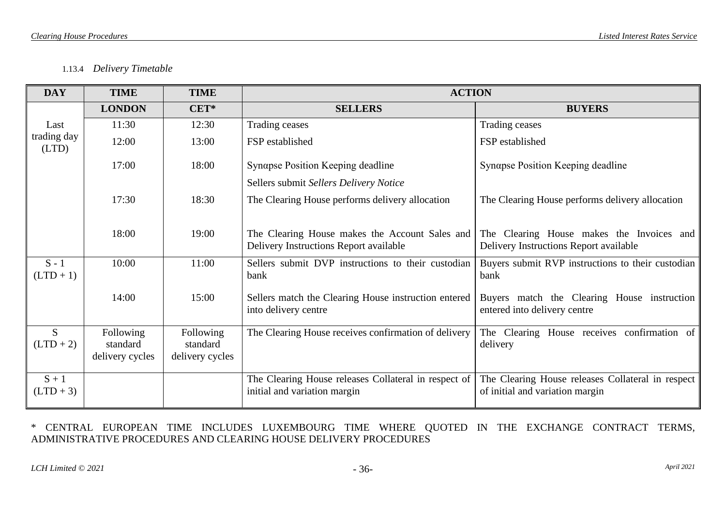### 1.13.4 *Delivery Timetable*

| <b>DAY</b>             | <b>TIME</b>                              | <b>TIME</b>                              | <b>ACTION</b>                                                                            |                                                                                      |
|------------------------|------------------------------------------|------------------------------------------|------------------------------------------------------------------------------------------|--------------------------------------------------------------------------------------|
|                        | <b>LONDON</b>                            | CET*                                     | <b>SELLERS</b>                                                                           | <b>BUYERS</b>                                                                        |
| Last                   | 11:30                                    | 12:30                                    | <b>Trading ceases</b>                                                                    | Trading ceases                                                                       |
| trading day<br>(LTD)   | 12:00                                    | 13:00                                    | FSP established                                                                          | FSP established                                                                      |
|                        | 17:00                                    | 18:00                                    | Synapse Position Keeping deadline                                                        | Synαpse Position Keeping deadline                                                    |
|                        |                                          |                                          | Sellers submit Sellers Delivery Notice                                                   |                                                                                      |
|                        | 17:30                                    | 18:30                                    | The Clearing House performs delivery allocation                                          | The Clearing House performs delivery allocation                                      |
|                        | 18:00                                    | 19:00                                    | The Clearing House makes the Account Sales and<br>Delivery Instructions Report available | The Clearing House makes the Invoices and<br>Delivery Instructions Report available  |
| $S - 1$<br>$(LTD + 1)$ | 10:00                                    | 11:00                                    | Sellers submit DVP instructions to their custodian<br>bank                               | Buyers submit RVP instructions to their custodian<br>bank                            |
|                        | 14:00                                    | 15:00                                    | Sellers match the Clearing House instruction entered<br>into delivery centre             | Buyers match the Clearing House instruction<br>entered into delivery centre          |
| S.<br>$(LTD + 2)$      | Following<br>standard<br>delivery cycles | Following<br>standard<br>delivery cycles | The Clearing House receives confirmation of delivery                                     | The Clearing House receives confirmation of<br>delivery                              |
| $S + 1$<br>$(LTD + 3)$ |                                          |                                          | The Clearing House releases Collateral in respect of<br>initial and variation margin     | The Clearing House releases Collateral in respect<br>of initial and variation margin |

\* CENTRAL EUROPEAN TIME INCLUDES LUXEMBOURG TIME WHERE QUOTED IN THE EXCHANGE CONTRACT TERMS, ADMINISTRATIVE PROCEDURES AND CLEARING HOUSE DELIVERY PROCEDURES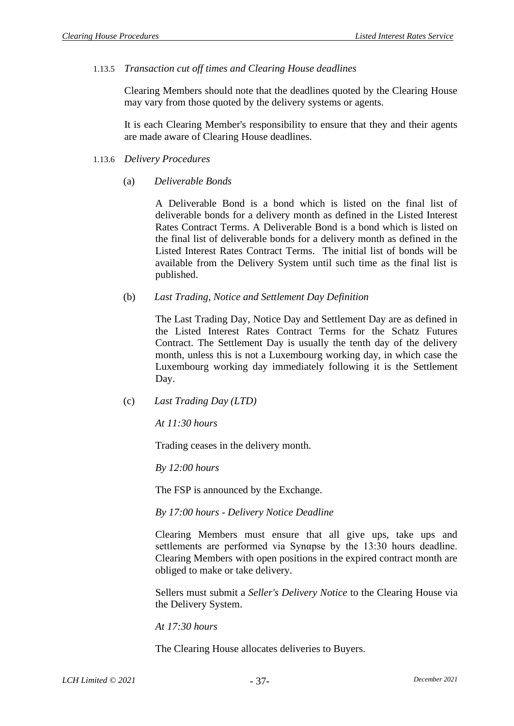### 1.13.5 *Transaction cut off times and Clearing House deadlines*

Clearing Members should note that the deadlines quoted by the Clearing House may vary from those quoted by the delivery systems or agents.

It is each Clearing Member's responsibility to ensure that they and their agents are made aware of Clearing House deadlines.

#### 1.13.6 *Delivery Procedures*

### (a) *Deliverable Bonds*

A Deliverable Bond is a bond which is listed on the final list of deliverable bonds for a delivery month as defined in the Listed Interest Rates Contract Terms. A Deliverable Bond is a bond which is listed on the final list of deliverable bonds for a delivery month as defined in the Listed Interest Rates Contract Terms. The initial list of bonds will be available from the Delivery System until such time as the final list is published.

### (b) *Last Trading, Notice and Settlement Day Definition*

The Last Trading Day, Notice Day and Settlement Day are as defined in the Listed Interest Rates Contract Terms for the Schatz Futures Contract. The Settlement Day is usually the tenth day of the delivery month, unless this is not a Luxembourg working day, in which case the Luxembourg working day immediately following it is the Settlement Day.

#### (c) *Last Trading Day (LTD)*

*At 11:30 hours*

Trading ceases in the delivery month.

*By 12:00 hours*

The FSP is announced by the Exchange.

*By 17:00 hours - Delivery Notice Deadline*

Clearing Members must ensure that all give ups, take ups and settlements are performed via Synαpse by the 13:30 hours deadline. Clearing Members with open positions in the expired contract month are obliged to make or take delivery.

Sellers must submit a *Seller's Delivery Notice* to the Clearing House via the Delivery System.

*At 17:30 hours*

The Clearing House allocates deliveries to Buyers.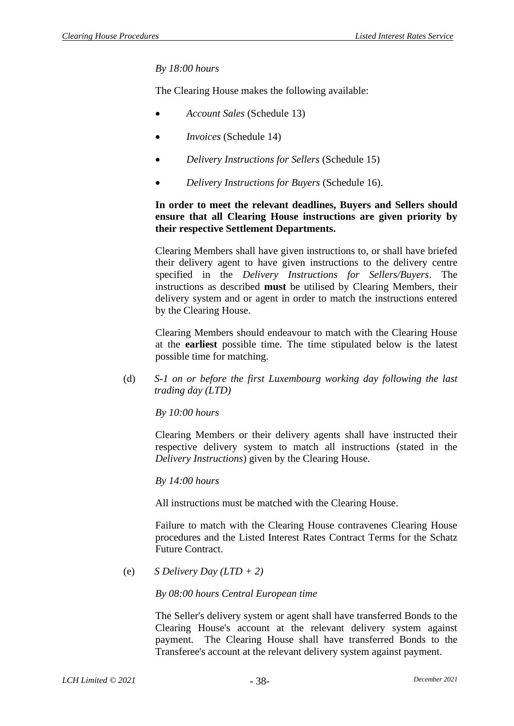### *By 18:00 hours*

The Clearing House makes the following available:

- *Account Sales* [\(Schedule 13\)](#page-58-0)
- *Invoices* [\(Schedule 14\)](#page-59-0)
- *Delivery Instructions for Sellers* [\(Schedule 15\)](#page-60-0)
- *Delivery Instructions for Buyers* [\(Schedule 16\)](#page-61-0).

### **In order to meet the relevant deadlines, Buyers and Sellers should ensure that all Clearing House instructions are given priority by their respective Settlement Departments.**

Clearing Members shall have given instructions to, or shall have briefed their delivery agent to have given instructions to the delivery centre specified in the *Delivery Instructions for Sellers/Buyers*. The instructions as described **must** be utilised by Clearing Members, their delivery system and or agent in order to match the instructions entered by the Clearing House.

Clearing Members should endeavour to match with the Clearing House at the **earliest** possible time. The time stipulated below is the latest possible time for matching.

(d) *S-1 on or before the first Luxembourg working day following the last trading day (LTD)*

*By 10:00 hours*

Clearing Members or their delivery agents shall have instructed their respective delivery system to match all instructions (stated in the *Delivery Instructions*) given by the Clearing House.

*By 14:00 hours*

All instructions must be matched with the Clearing House.

Failure to match with the Clearing House contravenes Clearing House procedures and the Listed Interest Rates Contract Terms for the Schatz Future Contract.

(e) *S Delivery Day (LTD + 2)*

*By 08:00 hours Central European time*

The Seller's delivery system or agent shall have transferred Bonds to the Clearing House's account at the relevant delivery system against payment. The Clearing House shall have transferred Bonds to the Transferee's account at the relevant delivery system against payment.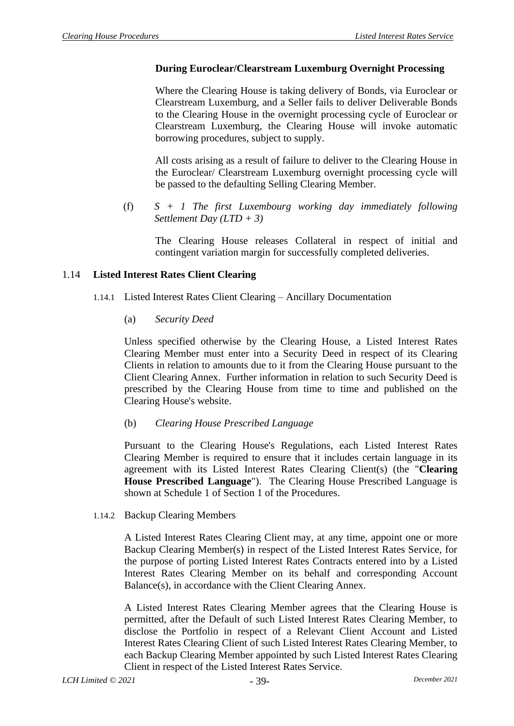### **During Euroclear/Clearstream Luxemburg Overnight Processing**

Where the Clearing House is taking delivery of Bonds, via Euroclear or Clearstream Luxemburg, and a Seller fails to deliver Deliverable Bonds to the Clearing House in the overnight processing cycle of Euroclear or Clearstream Luxemburg, the Clearing House will invoke automatic borrowing procedures, subject to supply.

All costs arising as a result of failure to deliver to the Clearing House in the Euroclear/ Clearstream Luxemburg overnight processing cycle will be passed to the defaulting Selling Clearing Member.

(f) *S + 1 The first Luxembourg working day immediately following Settlement Day (LTD + 3)*

The Clearing House releases Collateral in respect of initial and contingent variation margin for successfully completed deliveries.

### 1.14 **Listed Interest Rates Client Clearing**

- 1.14.1 Listed Interest Rates Client Clearing Ancillary Documentation
	- (a) *Security Deed*

Unless specified otherwise by the Clearing House, a Listed Interest Rates Clearing Member must enter into a Security Deed in respect of its Clearing Clients in relation to amounts due to it from the Clearing House pursuant to the Client Clearing Annex. Further information in relation to such Security Deed is prescribed by the Clearing House from time to time and published on the Clearing House's website.

(b) *Clearing House Prescribed Language* 

Pursuant to the Clearing House's Regulations, each Listed Interest Rates Clearing Member is required to ensure that it includes certain language in its agreement with its Listed Interest Rates Clearing Client(s) (the "**Clearing House Prescribed Language**"). The Clearing House Prescribed Language is shown at Schedule 1 of Section 1 of the Procedures.

1.14.2 Backup Clearing Members

A Listed Interest Rates Clearing Client may, at any time, appoint one or more Backup Clearing Member(s) in respect of the Listed Interest Rates Service, for the purpose of porting Listed Interest Rates Contracts entered into by a Listed Interest Rates Clearing Member on its behalf and corresponding Account Balance(s), in accordance with the Client Clearing Annex.

A Listed Interest Rates Clearing Member agrees that the Clearing House is permitted, after the Default of such Listed Interest Rates Clearing Member, to disclose the Portfolio in respect of a Relevant Client Account and Listed Interest Rates Clearing Client of such Listed Interest Rates Clearing Member, to each Backup Clearing Member appointed by such Listed Interest Rates Clearing Client in respect of the Listed Interest Rates Service.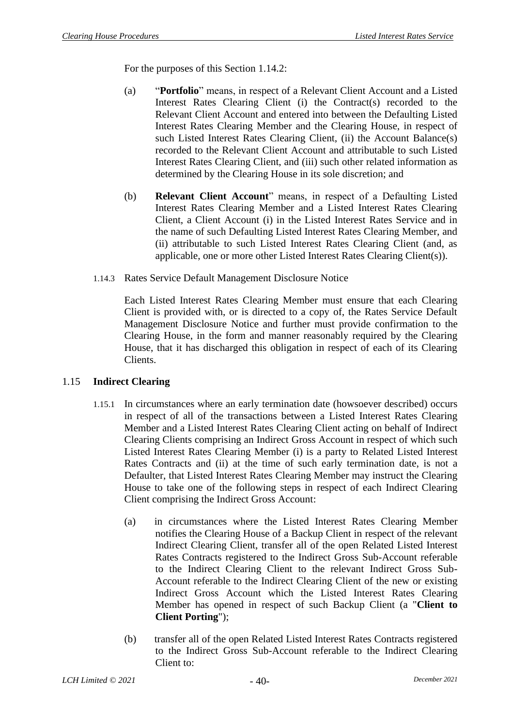For the purposes of this Section 1.14.2:

- (a) "**Portfolio**" means, in respect of a Relevant Client Account and a Listed Interest Rates Clearing Client (i) the Contract(s) recorded to the Relevant Client Account and entered into between the Defaulting Listed Interest Rates Clearing Member and the Clearing House, in respect of such Listed Interest Rates Clearing Client, (ii) the Account Balance(s) recorded to the Relevant Client Account and attributable to such Listed Interest Rates Clearing Client, and (iii) such other related information as determined by the Clearing House in its sole discretion; and
- (b) **Relevant Client Account**" means, in respect of a Defaulting Listed Interest Rates Clearing Member and a Listed Interest Rates Clearing Client, a Client Account (i) in the Listed Interest Rates Service and in the name of such Defaulting Listed Interest Rates Clearing Member, and (ii) attributable to such Listed Interest Rates Clearing Client (and, as applicable, one or more other Listed Interest Rates Clearing Client(s)).
- 1.14.3 Rates Service Default Management Disclosure Notice

Each Listed Interest Rates Clearing Member must ensure that each Clearing Client is provided with, or is directed to a copy of, the Rates Service Default Management Disclosure Notice and further must provide confirmation to the Clearing House, in the form and manner reasonably required by the Clearing House, that it has discharged this obligation in respect of each of its Clearing Clients.

#### <span id="page-41-0"></span>1.15 **Indirect Clearing**

- 1.15.1 In circumstances where an early termination date (howsoever described) occurs in respect of all of the transactions between a Listed Interest Rates Clearing Member and a Listed Interest Rates Clearing Client acting on behalf of Indirect Clearing Clients comprising an Indirect Gross Account in respect of which such Listed Interest Rates Clearing Member (i) is a party to Related Listed Interest Rates Contracts and (ii) at the time of such early termination date, is not a Defaulter, that Listed Interest Rates Clearing Member may instruct the Clearing House to take one of the following steps in respect of each Indirect Clearing Client comprising the Indirect Gross Account:
	- (a) in circumstances where the Listed Interest Rates Clearing Member notifies the Clearing House of a Backup Client in respect of the relevant Indirect Clearing Client, transfer all of the open Related Listed Interest Rates Contracts registered to the Indirect Gross Sub-Account referable to the Indirect Clearing Client to the relevant Indirect Gross Sub-Account referable to the Indirect Clearing Client of the new or existing Indirect Gross Account which the Listed Interest Rates Clearing Member has opened in respect of such Backup Client (a "**Client to Client Porting**");
	- (b) transfer all of the open Related Listed Interest Rates Contracts registered to the Indirect Gross Sub-Account referable to the Indirect Clearing Client to: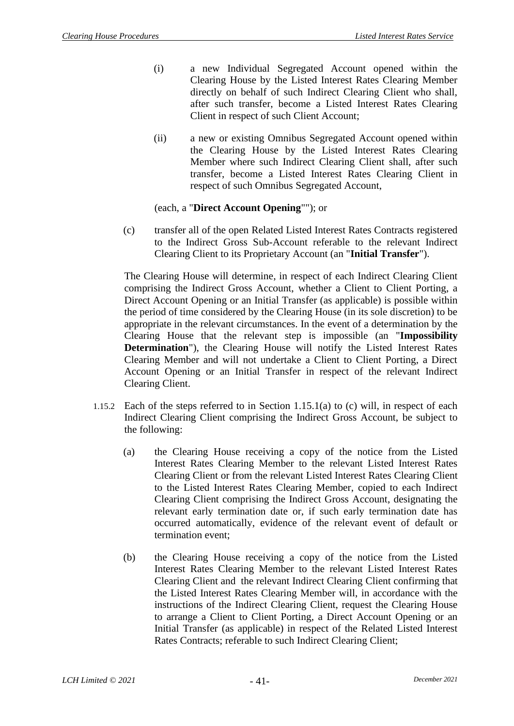- (i) a new Individual Segregated Account opened within the Clearing House by the Listed Interest Rates Clearing Member directly on behalf of such Indirect Clearing Client who shall, after such transfer, become a Listed Interest Rates Clearing Client in respect of such Client Account;
- (ii) a new or existing Omnibus Segregated Account opened within the Clearing House by the Listed Interest Rates Clearing Member where such Indirect Clearing Client shall, after such transfer, become a Listed Interest Rates Clearing Client in respect of such Omnibus Segregated Account,

### (each, a "**Direct Account Opening**""); or

(c) transfer all of the open Related Listed Interest Rates Contracts registered to the Indirect Gross Sub-Account referable to the relevant Indirect Clearing Client to its Proprietary Account (an "**Initial Transfer**").

The Clearing House will determine, in respect of each Indirect Clearing Client comprising the Indirect Gross Account, whether a Client to Client Porting, a Direct Account Opening or an Initial Transfer (as applicable) is possible within the period of time considered by the Clearing House (in its sole discretion) to be appropriate in the relevant circumstances. In the event of a determination by the Clearing House that the relevant step is impossible (an "**Impossibility Determination**"), the Clearing House will notify the Listed Interest Rates Clearing Member and will not undertake a Client to Client Porting, a Direct Account Opening or an Initial Transfer in respect of the relevant Indirect Clearing Client.

- 1.15.2 Each of the steps referred to in Section 1.15.1(a) to (c) will, in respect of each Indirect Clearing Client comprising the Indirect Gross Account, be subject to the following:
	- (a) the Clearing House receiving a copy of the notice from the Listed Interest Rates Clearing Member to the relevant Listed Interest Rates Clearing Client or from the relevant Listed Interest Rates Clearing Client to the Listed Interest Rates Clearing Member, copied to each Indirect Clearing Client comprising the Indirect Gross Account, designating the relevant early termination date or, if such early termination date has occurred automatically, evidence of the relevant event of default or termination event;
	- (b) the Clearing House receiving a copy of the notice from the Listed Interest Rates Clearing Member to the relevant Listed Interest Rates Clearing Client and the relevant Indirect Clearing Client confirming that the Listed Interest Rates Clearing Member will, in accordance with the instructions of the Indirect Clearing Client, request the Clearing House to arrange a Client to Client Porting, a Direct Account Opening or an Initial Transfer (as applicable) in respect of the Related Listed Interest Rates Contracts; referable to such Indirect Clearing Client;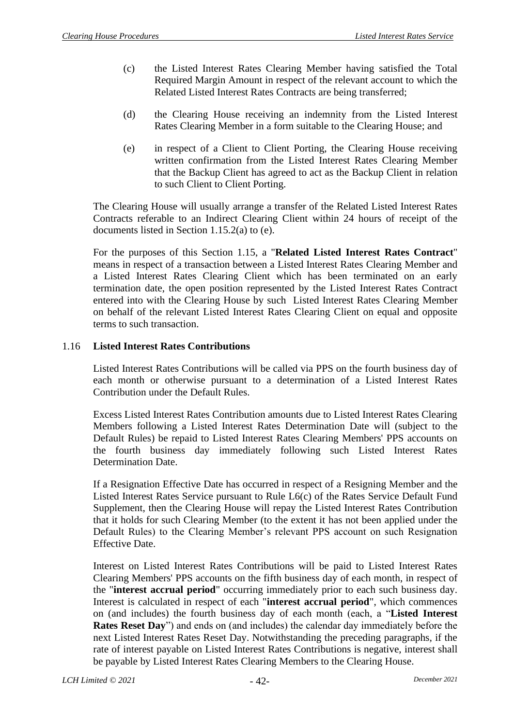- (c) the Listed Interest Rates Clearing Member having satisfied the Total Required Margin Amount in respect of the relevant account to which the Related Listed Interest Rates Contracts are being transferred;
- (d) the Clearing House receiving an indemnity from the Listed Interest Rates Clearing Member in a form suitable to the Clearing House; and
- (e) in respect of a Client to Client Porting, the Clearing House receiving written confirmation from the Listed Interest Rates Clearing Member that the Backup Client has agreed to act as the Backup Client in relation to such Client to Client Porting.

The Clearing House will usually arrange a transfer of the Related Listed Interest Rates Contracts referable to an Indirect Clearing Client within 24 hours of receipt of the documents listed in Section 1.15.2(a) to (e).

For the purposes of this Section [1.15,](#page-41-0) a "**Related Listed Interest Rates Contract**" means in respect of a transaction between a Listed Interest Rates Clearing Member and a Listed Interest Rates Clearing Client which has been terminated on an early termination date, the open position represented by the Listed Interest Rates Contract entered into with the Clearing House by such Listed Interest Rates Clearing Member on behalf of the relevant Listed Interest Rates Clearing Client on equal and opposite terms to such transaction.

### 1.16 **Listed Interest Rates Contributions**

Listed Interest Rates Contributions will be called via PPS on the fourth business day of each month or otherwise pursuant to a determination of a Listed Interest Rates Contribution under the Default Rules.

Excess Listed Interest Rates Contribution amounts due to Listed Interest Rates Clearing Members following a Listed Interest Rates Determination Date will (subject to the Default Rules) be repaid to Listed Interest Rates Clearing Members' PPS accounts on the fourth business day immediately following such Listed Interest Rates Determination Date.

If a Resignation Effective Date has occurred in respect of a Resigning Member and the Listed Interest Rates Service pursuant to Rule L6(c) of the Rates Service Default Fund Supplement, then the Clearing House will repay the Listed Interest Rates Contribution that it holds for such Clearing Member (to the extent it has not been applied under the Default Rules) to the Clearing Member's relevant PPS account on such Resignation Effective Date.

Interest on Listed Interest Rates Contributions will be paid to Listed Interest Rates Clearing Members' PPS accounts on the fifth business day of each month, in respect of the "**interest accrual period**" occurring immediately prior to each such business day. Interest is calculated in respect of each "**interest accrual period**", which commences on (and includes) the fourth business day of each month (each, a "**Listed Interest Rates Reset Day**") and ends on (and includes) the calendar day immediately before the next Listed Interest Rates Reset Day. Notwithstanding the preceding paragraphs, if the rate of interest payable on Listed Interest Rates Contributions is negative, interest shall be payable by Listed Interest Rates Clearing Members to the Clearing House.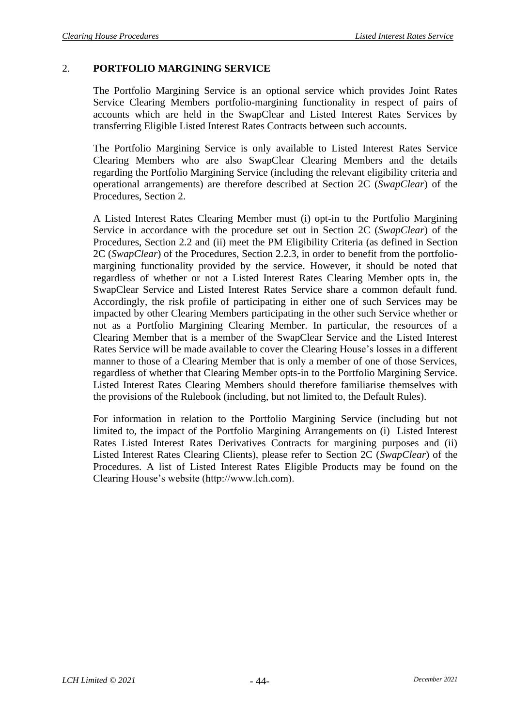## 2. **PORTFOLIO MARGINING SERVICE**

The Portfolio Margining Service is an optional service which provides Joint Rates Service Clearing Members portfolio-margining functionality in respect of pairs of accounts which are held in the SwapClear and Listed Interest Rates Services by transferring Eligible Listed Interest Rates Contracts between such accounts.

The Portfolio Margining Service is only available to Listed Interest Rates Service Clearing Members who are also SwapClear Clearing Members and the details regarding the Portfolio Margining Service (including the relevant eligibility criteria and operational arrangements) are therefore described at Section 2C (*SwapClear*) of the Procedures, Section 2.

A Listed Interest Rates Clearing Member must (i) opt-in to the Portfolio Margining Service in accordance with the procedure set out in Section 2C (*SwapClear*) of the Procedures, Section 2.2 and (ii) meet the PM Eligibility Criteria (as defined in Section 2C (*SwapClear*) of the Procedures, Section 2.2.3, in order to benefit from the portfoliomargining functionality provided by the service. However, it should be noted that regardless of whether or not a Listed Interest Rates Clearing Member opts in, the SwapClear Service and Listed Interest Rates Service share a common default fund. Accordingly, the risk profile of participating in either one of such Services may be impacted by other Clearing Members participating in the other such Service whether or not as a Portfolio Margining Clearing Member. In particular, the resources of a Clearing Member that is a member of the SwapClear Service and the Listed Interest Rates Service will be made available to cover the Clearing House's losses in a different manner to those of a Clearing Member that is only a member of one of those Services, regardless of whether that Clearing Member opts-in to the Portfolio Margining Service. Listed Interest Rates Clearing Members should therefore familiarise themselves with the provisions of the Rulebook (including, but not limited to, the Default Rules).

For information in relation to the Portfolio Margining Service (including but not limited to, the impact of the Portfolio Margining Arrangements on (i) Listed Interest Rates Listed Interest Rates Derivatives Contracts for margining purposes and (ii) Listed Interest Rates Clearing Clients), please refer to Section 2C (*SwapClear*) of the Procedures. A list of Listed Interest Rates Eligible Products may be found on the Clearing House's website (http://www.lch.com).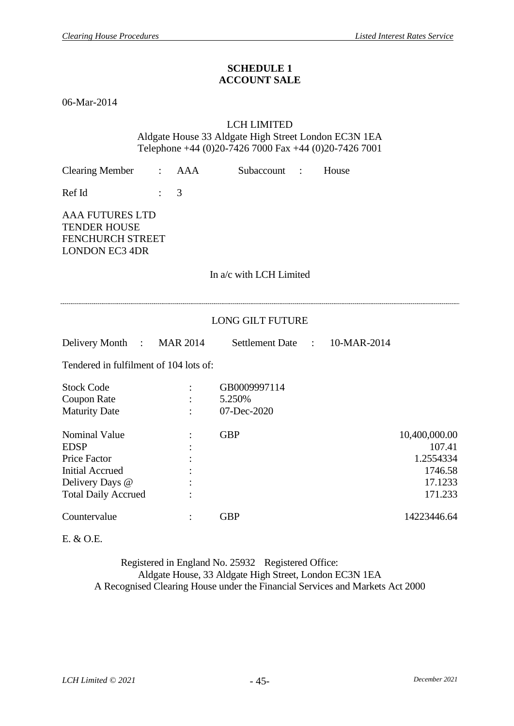### **SCHEDULE 1 ACCOUNT SALE**

06-Mar-2014

### LCH LIMITED

Aldgate House 33 Aldgate High Street London EC3N 1EA Telephone +44 (0)20-7426 7000 Fax +44 (0)20-7426 7001

| <b>Clearing Member</b>                                                                                                                | $\mathbb{R}^{\mathbb{Z}}$ | AAA | Subaccount :                          | House |                                                                       |
|---------------------------------------------------------------------------------------------------------------------------------------|---------------------------|-----|---------------------------------------|-------|-----------------------------------------------------------------------|
| Ref Id                                                                                                                                |                           | 3   |                                       |       |                                                                       |
| <b>AAA FUTURES LTD</b><br><b>TENDER HOUSE</b><br>FENCHURCH STREET<br><b>LONDON EC3 4DR</b>                                            |                           |     |                                       |       |                                                                       |
|                                                                                                                                       |                           |     | In a/c with LCH Limited               |       |                                                                       |
|                                                                                                                                       |                           |     |                                       |       |                                                                       |
|                                                                                                                                       |                           |     | <b>LONG GILT FUTURE</b>               |       |                                                                       |
| Delivery Month : MAR 2014                                                                                                             |                           |     | Settlement Date : 10-MAR-2014         |       |                                                                       |
| Tendered in fulfilment of 104 lots of:                                                                                                |                           |     |                                       |       |                                                                       |
| <b>Stock Code</b><br><b>Coupon Rate</b><br><b>Maturity Date</b>                                                                       |                           |     | GB0009997114<br>5.250%<br>07-Dec-2020 |       |                                                                       |
| <b>Nominal Value</b><br><b>EDSP</b><br><b>Price Factor</b><br><b>Initial Accrued</b><br>Delivery Days @<br><b>Total Daily Accrued</b> |                           |     | <b>GBP</b>                            |       | 10,400,000.00<br>107.41<br>1.2554334<br>1746.58<br>17.1233<br>171.233 |
| Countervalue                                                                                                                          |                           |     | <b>GBP</b>                            |       | 14223446.64                                                           |

E. & O.E.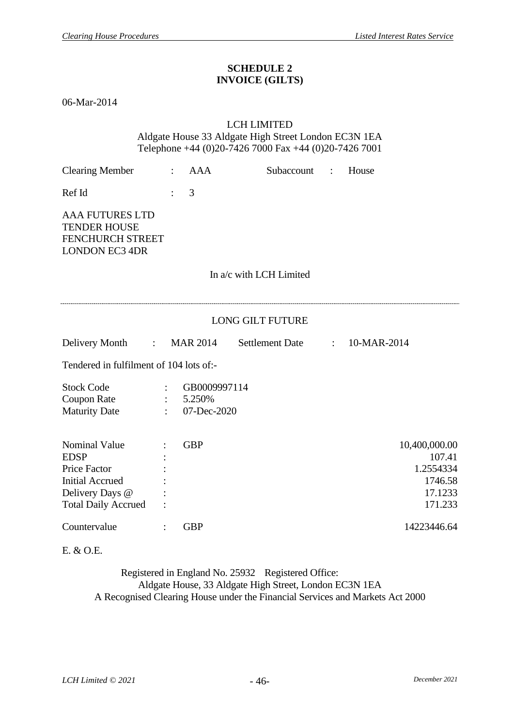### **SCHEDULE 2 INVOICE (GILTS)**

06-Mar-2014

#### LCH LIMITED

Aldgate House 33 Aldgate High Street London EC3N 1EA Telephone +44 (0)20-7426 7000 Fax +44 (0)20-7426 7001

| <b>Clearing Member</b>                                                                                                                | $\ddot{\phantom{a}}$ | <b>AAA</b>                            | Subaccount              | $\ddot{\cdot}$ | House                                                                 |  |  |  |  |  |  |  |
|---------------------------------------------------------------------------------------------------------------------------------------|----------------------|---------------------------------------|-------------------------|----------------|-----------------------------------------------------------------------|--|--|--|--|--|--|--|
| Ref Id                                                                                                                                |                      | 3                                     |                         |                |                                                                       |  |  |  |  |  |  |  |
| <b>AAA FUTURES LTD</b><br><b>TENDER HOUSE</b><br><b>FENCHURCH STREET</b><br><b>LONDON EC3 4DR</b>                                     |                      |                                       |                         |                |                                                                       |  |  |  |  |  |  |  |
|                                                                                                                                       |                      |                                       | In a/c with LCH Limited |                |                                                                       |  |  |  |  |  |  |  |
| <b>LONG GILT FUTURE</b>                                                                                                               |                      |                                       |                         |                |                                                                       |  |  |  |  |  |  |  |
| Delivery Month<br>$\sim 100$ M $_\odot$                                                                                               |                      | <b>MAR 2014</b>                       | <b>Settlement Date</b>  | $\ddot{\cdot}$ | 10-MAR-2014                                                           |  |  |  |  |  |  |  |
| Tendered in fulfilment of 104 lots of:-                                                                                               |                      |                                       |                         |                |                                                                       |  |  |  |  |  |  |  |
| <b>Stock Code</b><br><b>Coupon Rate</b><br><b>Maturity Date</b>                                                                       |                      | GB0009997114<br>5.250%<br>07-Dec-2020 |                         |                |                                                                       |  |  |  |  |  |  |  |
| <b>Nominal Value</b><br><b>EDSP</b><br><b>Price Factor</b><br><b>Initial Accrued</b><br>Delivery Days @<br><b>Total Daily Accrued</b> |                      | <b>GBP</b>                            |                         |                | 10,400,000.00<br>107.41<br>1.2554334<br>1746.58<br>17.1233<br>171.233 |  |  |  |  |  |  |  |
| Countervalue                                                                                                                          | $\ddot{\cdot}$       | <b>GBP</b>                            |                         |                | 14223446.64                                                           |  |  |  |  |  |  |  |

E. & O.E.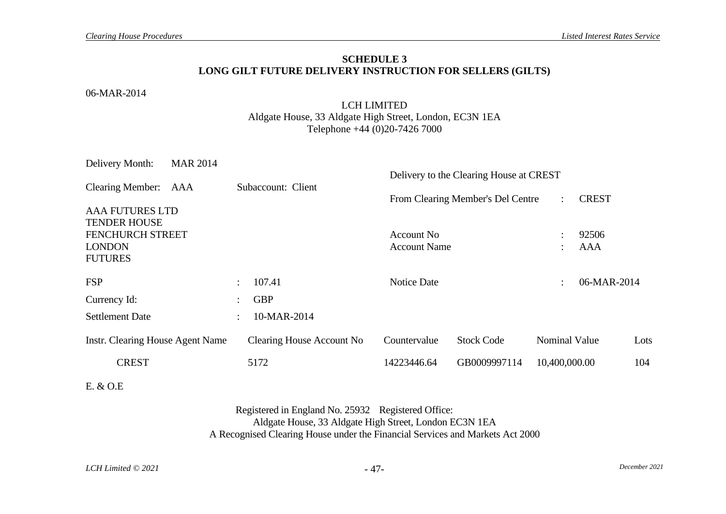#### **SCHEDULE 3 LONG GILT FUTURE DELIVERY INSTRUCTION FOR SELLERS (GILTS)**

#### 06-MAR-2014

### LCH LIMITED Aldgate House, 33 Aldgate High Street, London, EC3N 1EA Telephone +44 (0)20-7426 7000

| Delivery Month:                               | <b>MAR 2014</b> |                      |                           |                             | Delivery to the Clearing House at CREST |               |                      |                      |      |
|-----------------------------------------------|-----------------|----------------------|---------------------------|-----------------------------|-----------------------------------------|---------------|----------------------|----------------------|------|
| Clearing Member: AAA                          |                 |                      | Subaccount: Client        |                             | From Clearing Member's Del Centre       |               | $\ddot{\cdot}$       | <b>CREST</b>         |      |
| <b>AAA FUTURES LTD</b><br><b>TENDER HOUSE</b> |                 |                      |                           |                             |                                         |               |                      |                      |      |
| <b>FENCHURCH STREET</b>                       |                 |                      |                           | Account No.                 |                                         |               | $\bullet$            | 92506                |      |
| <b>LONDON</b>                                 |                 |                      |                           | <b>Account Name</b>         |                                         |               | $\ddot{\phantom{a}}$ | AAA                  |      |
| <b>FUTURES</b>                                |                 |                      |                           |                             |                                         |               |                      |                      |      |
| <b>FSP</b>                                    |                 | $\ddot{\phantom{a}}$ | 107.41                    | <b>Notice Date</b>          |                                         |               | $\ddot{\cdot}$       | 06-MAR-2014          |      |
| Currency Id:                                  |                 | $\ddot{\phantom{a}}$ | <b>GBP</b>                |                             |                                         |               |                      |                      |      |
| <b>Settlement Date</b>                        |                 | $\ddot{\cdot}$       | 10-MAR-2014               |                             |                                         |               |                      |                      |      |
| Instr. Clearing House Agent Name              |                 |                      | Clearing House Account No | Countervalue                | <b>Stock Code</b>                       |               |                      | <b>Nominal Value</b> | Lots |
| <b>CREST</b>                                  |                 | 5172                 |                           | GB0009997114<br>14223446.64 |                                         | 10,400,000.00 |                      |                      | 104  |
|                                               |                 |                      |                           |                             |                                         |               |                      |                      |      |

E. & O.E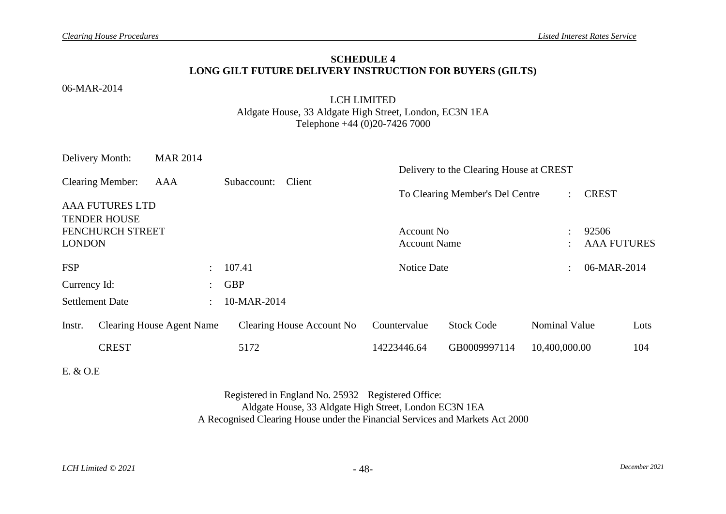#### **SCHEDULE 4 LONG GILT FUTURE DELIVERY INSTRUCTION FOR BUYERS (GILTS)**

#### 06-MAR-2014

### LCH LIMITED Aldgate House, 33 Aldgate High Street, London, EC3N 1EA Telephone +44 (0)20-7426 7000

| <b>MAR 2014</b>           |             |                                  |                                          |                                    |                    |                                                                            |                                                                               |
|---------------------------|-------------|----------------------------------|------------------------------------------|------------------------------------|--------------------|----------------------------------------------------------------------------|-------------------------------------------------------------------------------|
| AAA                       | Subaccount: | Client                           |                                          |                                    |                    |                                                                            |                                                                               |
| <b>AAA FUTURES LTD</b>    |             |                                  |                                          |                                    |                    |                                                                            |                                                                               |
| <b>FENCHURCH STREET</b>   |             |                                  |                                          | Account No.<br><b>Account Name</b> |                    |                                                                            |                                                                               |
| $\mathcal{L}$             | 107.41      |                                  |                                          |                                    |                    | 06-MAR-2014                                                                |                                                                               |
| $\mathbb{R}^{\mathbb{Z}}$ | <b>GBP</b>  |                                  |                                          |                                    |                    |                                                                            |                                                                               |
| $\mathbb{R}^{\mathbb{Z}}$ |             |                                  |                                          |                                    |                    |                                                                            |                                                                               |
|                           |             |                                  | Countervalue                             | <b>Stock Code</b>                  |                    |                                                                            | Lots                                                                          |
|                           | 5172        |                                  | 14223446.64                              | GB0009997114                       |                    |                                                                            | 104                                                                           |
|                           |             | <b>Clearing House Agent Name</b> | 10-MAR-2014<br>Clearing House Account No |                                    | <b>Notice Date</b> | Delivery to the Clearing House at CREST<br>To Clearing Member's Del Centre | <b>CREST</b><br>92506<br><b>AAA FUTURES</b><br>Nominal Value<br>10,400,000.00 |

E. & O.E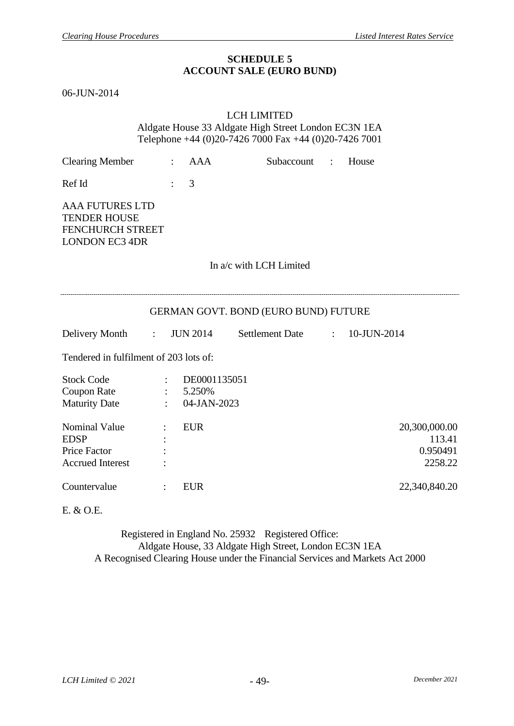#### **SCHEDULE 5 ACCOUNT SALE (EURO BUND)**

<span id="page-50-0"></span>06-JUN-2014

### LCH LIMITED Aldgate House 33 Aldgate High Street London EC3N 1EA Telephone +44 (0)20-7426 7000 Fax +44 (0)20-7426 7001

| <b>Clearing Member</b>                                                                            | $\ddot{\cdot}$            | <b>AAA</b>                                 | Subaccount :      |  | House                                          |  |  |  |  |  |  |  |
|---------------------------------------------------------------------------------------------------|---------------------------|--------------------------------------------|-------------------|--|------------------------------------------------|--|--|--|--|--|--|--|
| Ref Id                                                                                            | $\ddot{\cdot}$            | 3                                          |                   |  |                                                |  |  |  |  |  |  |  |
| <b>AAA FUTURES LTD</b><br><b>TENDER HOUSE</b><br><b>FENCHURCH STREET</b><br><b>LONDON EC3 4DR</b> |                           |                                            |                   |  |                                                |  |  |  |  |  |  |  |
|                                                                                                   | In a/c with LCH Limited   |                                            |                   |  |                                                |  |  |  |  |  |  |  |
| GERMAN GOVT. BOND (EURO BUND) FUTURE                                                              |                           |                                            |                   |  |                                                |  |  |  |  |  |  |  |
| Delivery Month :                                                                                  |                           | <b>JUN 2014</b>                            | Settlement Date : |  | 10-JUN-2014                                    |  |  |  |  |  |  |  |
| Tendered in fulfilment of 203 lots of:                                                            |                           |                                            |                   |  |                                                |  |  |  |  |  |  |  |
| <b>Stock Code</b><br><b>Coupon Rate</b><br><b>Maturity Date</b>                                   | $\mathbb{R}^{n \times n}$ | DE0001135051<br>$: 5.250\%$<br>04-JAN-2023 |                   |  |                                                |  |  |  |  |  |  |  |
| <b>Nominal Value</b><br><b>EDSP</b><br><b>Price Factor</b><br><b>Accrued Interest</b>             |                           | <b>EUR</b>                                 |                   |  | 20,300,000.00<br>113.41<br>0.950491<br>2258.22 |  |  |  |  |  |  |  |
|                                                                                                   |                           |                                            |                   |  |                                                |  |  |  |  |  |  |  |

E. & O.E.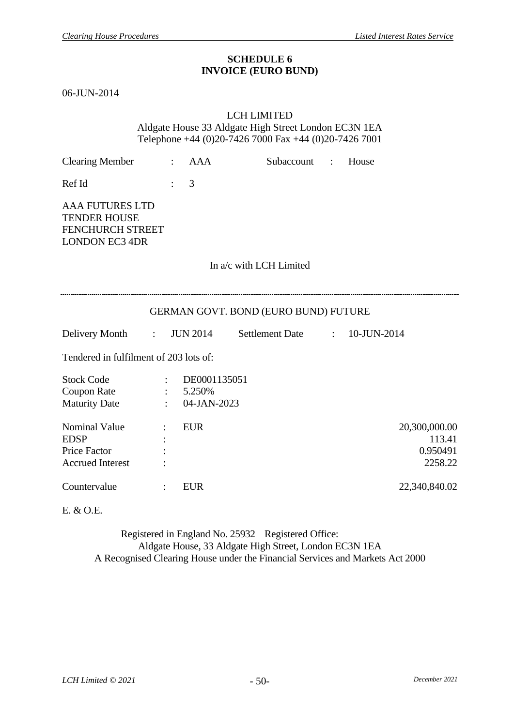#### **SCHEDULE 6 INVOICE (EURO BUND)**

<span id="page-51-0"></span>06-JUN-2014

### LCH LIMITED Aldgate House 33 Aldgate High Street London EC3N 1EA Telephone +44 (0)20-7426 7000 Fax +44 (0)20-7426 7001

| <b>Clearing Member</b>                                                                            | $\ddot{\cdot}$                                                           | <b>AAA</b>                            | Subaccount :                  |  | House                                          |  |  |  |  |  |  |  |
|---------------------------------------------------------------------------------------------------|--------------------------------------------------------------------------|---------------------------------------|-------------------------------|--|------------------------------------------------|--|--|--|--|--|--|--|
| Ref Id                                                                                            |                                                                          | 3                                     |                               |  |                                                |  |  |  |  |  |  |  |
| <b>AAA FUTURES LTD</b><br><b>TENDER HOUSE</b><br><b>FENCHURCH STREET</b><br><b>LONDON EC3 4DR</b> |                                                                          |                                       |                               |  |                                                |  |  |  |  |  |  |  |
|                                                                                                   | In a/c with LCH Limited                                                  |                                       |                               |  |                                                |  |  |  |  |  |  |  |
| GERMAN GOVT. BOND (EURO BUND) FUTURE                                                              |                                                                          |                                       |                               |  |                                                |  |  |  |  |  |  |  |
| Delivery Month :                                                                                  |                                                                          | <b>JUN 2014</b>                       | Settlement Date : 10-JUN-2014 |  |                                                |  |  |  |  |  |  |  |
| Tendered in fulfilment of 203 lots of:                                                            |                                                                          |                                       |                               |  |                                                |  |  |  |  |  |  |  |
| <b>Stock Code</b><br><b>Coupon Rate</b><br><b>Maturity Date</b>                                   | $\mathbb{R}^{n \times n}$<br>$\mathbb{R}^{\mathbb{Z}}$<br>$\ddot{\cdot}$ | DE0001135051<br>5.250%<br>04-JAN-2023 |                               |  |                                                |  |  |  |  |  |  |  |
| <b>Nominal Value</b><br><b>EDSP</b><br><b>Price Factor</b><br><b>Accrued Interest</b>             |                                                                          | <b>EUR</b>                            |                               |  | 20,300,000.00<br>113.41<br>0.950491<br>2258.22 |  |  |  |  |  |  |  |
| Countervalue                                                                                      |                                                                          | <b>EUR</b>                            |                               |  | 22,340,840.02                                  |  |  |  |  |  |  |  |

E. & O.E.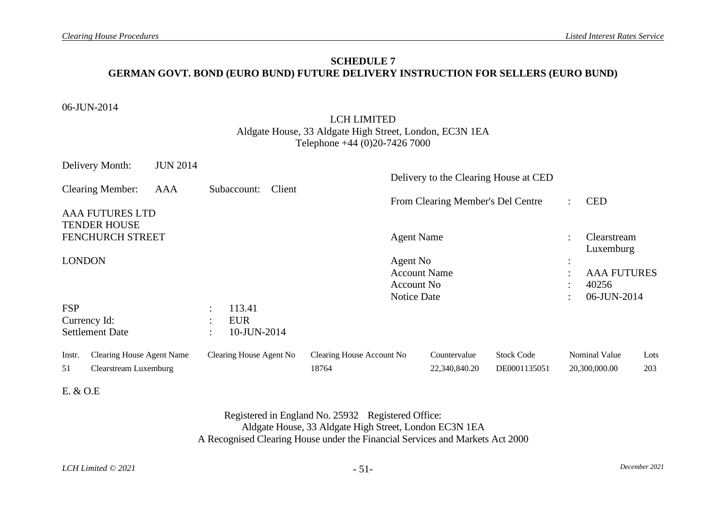## **SCHEDULE 7 GERMAN GOVT. BOND (EURO BUND) FUTURE DELIVERY INSTRUCTION FOR SELLERS (EURO BUND)**

#### 06-JUN-2014

## LCH LIMITED Aldgate House, 33 Aldgate High Street, London, EC3N 1EA Telephone +44 (0)20-7426 7000

<span id="page-52-0"></span>

|               | Delivery Month:                                           | <b>JUN 2014</b> |                                |        |                                    |                     | Delivery to the Clearing House at CED |                                   |              |                                       |             |
|---------------|-----------------------------------------------------------|-----------------|--------------------------------|--------|------------------------------------|---------------------|---------------------------------------|-----------------------------------|--------------|---------------------------------------|-------------|
|               | <b>Clearing Member:</b>                                   | AAA             | Subaccount:                    | Client |                                    |                     |                                       |                                   |              |                                       |             |
|               | <b>AAA FUTURES LTD</b><br><b>TENDER HOUSE</b>             |                 |                                |        |                                    |                     | From Clearing Member's Del Centre     |                                   | ÷            | <b>CED</b>                            |             |
|               | FENCHURCH STREET                                          |                 |                                |        |                                    | <b>Agent Name</b>   |                                       |                                   | ٠            | <b>Clearstream</b><br>Luxemburg       |             |
| <b>LONDON</b> |                                                           |                 |                                |        |                                    | Agent No            |                                       |                                   | ٠<br>$\cdot$ |                                       |             |
|               |                                                           |                 |                                |        |                                    | <b>Account Name</b> |                                       |                                   | $\bullet$    | <b>AAA FUTURES</b>                    |             |
|               |                                                           |                 |                                |        |                                    | Account No.         |                                       |                                   | $\bullet$    | 40256                                 |             |
|               |                                                           |                 |                                |        |                                    | Notice Date         |                                       |                                   | ٠            | 06-JUN-2014                           |             |
| <b>FSP</b>    |                                                           |                 | 113.41<br>$\ddot{\phantom{0}}$ |        |                                    |                     |                                       |                                   |              |                                       |             |
|               | Currency Id:                                              |                 | <b>EUR</b><br>$\bullet$        |        |                                    |                     |                                       |                                   |              |                                       |             |
|               | <b>Settlement Date</b>                                    |                 | 10-JUN-2014<br>$\ddot{\cdot}$  |        |                                    |                     |                                       |                                   |              |                                       |             |
| Instr.<br>51  | <b>Clearing House Agent Name</b><br>Clearstream Luxemburg |                 | Clearing House Agent No        |        | Clearing House Account No<br>18764 |                     | Countervalue<br>22,340,840.20         | <b>Stock Code</b><br>DE0001135051 |              | <b>Nominal Value</b><br>20,300,000.00 | Lots<br>203 |
|               |                                                           |                 |                                |        |                                    |                     |                                       |                                   |              |                                       |             |

### E. & O.E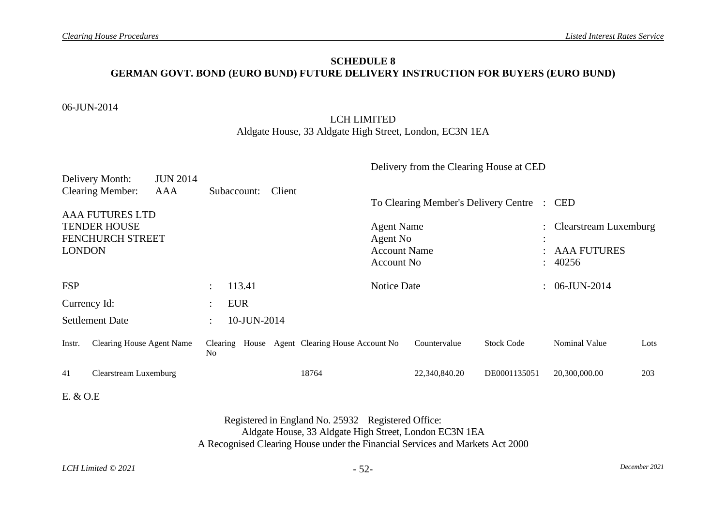## **SCHEDULE 8 GERMAN GOVT. BOND (EURO BUND) FUTURE DELIVERY INSTRUCTION FOR BUYERS (EURO BUND)**

#### 06-JUN-2014

## LCH LIMITED Aldgate House, 33 Aldgate High Street, London, EC3N 1EA

<span id="page-53-0"></span>

|                                         |                                            |                        |                      |             |  |        |                                       |                               | Delivery from the Clearing House at CED |                   |                    |                       |      |
|-----------------------------------------|--------------------------------------------|------------------------|----------------------|-------------|--|--------|---------------------------------------|-------------------------------|-----------------------------------------|-------------------|--------------------|-----------------------|------|
|                                         | Delivery Month:<br><b>Clearing Member:</b> | <b>JUN 2014</b><br>AAA |                      | Subaccount: |  | Client |                                       |                               |                                         |                   |                    |                       |      |
|                                         |                                            |                        |                      |             |  |        | To Clearing Member's Delivery Centre  |                               |                                         |                   |                    | $\therefore$ CED      |      |
|                                         | <b>AAA FUTURES LTD</b>                     |                        |                      |             |  |        |                                       |                               |                                         |                   |                    |                       |      |
| <b>TENDER HOUSE</b><br>FENCHURCH STREET |                                            |                        |                      |             |  |        |                                       | <b>Agent Name</b><br>Agent No |                                         |                   | $\bullet$          | Clearstream Luxemburg |      |
| <b>LONDON</b>                           |                                            |                        |                      |             |  |        | <b>Account Name</b>                   |                               |                                         | $\bullet$         | <b>AAA FUTURES</b> |                       |      |
|                                         |                                            |                        |                      |             |  |        |                                       | Account No.                   |                                         |                   | ÷                  | 40256                 |      |
| <b>FSP</b>                              |                                            |                        | $\bullet$ .          | 113.41      |  |        |                                       | <b>Notice Date</b>            |                                         |                   |                    | $: 06$ -JUN-2014      |      |
| Currency Id:                            |                                            |                        | $\bullet$            | <b>EUR</b>  |  |        |                                       |                               |                                         |                   |                    |                       |      |
|                                         | <b>Settlement Date</b>                     |                        | $\ddot{\phantom{0}}$ | 10-JUN-2014 |  |        |                                       |                               |                                         |                   |                    |                       |      |
| Instr.                                  | <b>Clearing House Agent Name</b>           |                        | Clearing<br>No       |             |  |        | House Agent Clearing House Account No |                               | Countervalue                            | <b>Stock Code</b> |                    | Nominal Value         | Lots |
| 41                                      | Clearstream Luxemburg                      |                        |                      |             |  |        | 18764                                 |                               | 22,340,840.20                           | DE0001135051      |                    | 20,300,000.00         | 203  |

## E. & O.E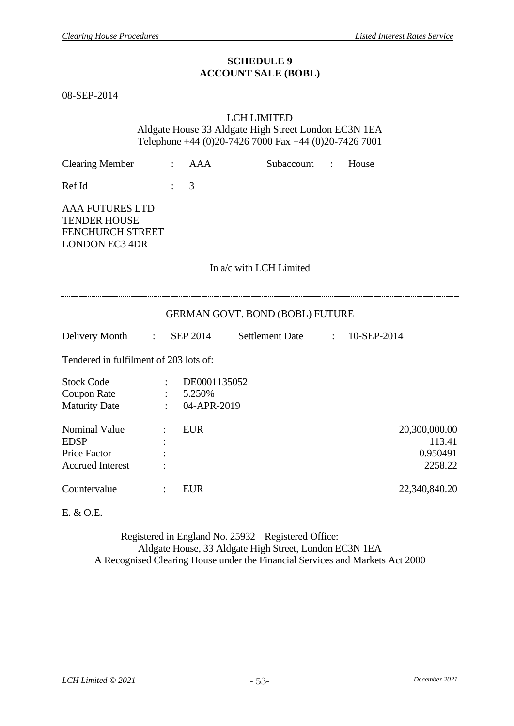#### **SCHEDULE 9 ACCOUNT SALE (BOBL)**

<span id="page-54-0"></span>08-SEP-2014

### LCH LIMITED

Aldgate House 33 Aldgate High Street London EC3N 1EA Telephone +44 (0)20-7426 7000 Fax +44 (0)20-7426 7001

| <b>Clearing Member</b>                                                                            | $\ddot{\cdot}$       | <b>AAA</b>                                 | Subaccount :           |                           | House                                          |  |  |  |  |  |  |
|---------------------------------------------------------------------------------------------------|----------------------|--------------------------------------------|------------------------|---------------------------|------------------------------------------------|--|--|--|--|--|--|
| Ref Id                                                                                            | $\ddot{\cdot}$       | 3                                          |                        |                           |                                                |  |  |  |  |  |  |
| <b>AAA FUTURES LTD</b><br><b>TENDER HOUSE</b><br><b>FENCHURCH STREET</b><br><b>LONDON EC3 4DR</b> |                      |                                            |                        |                           |                                                |  |  |  |  |  |  |
| In a/c with LCH Limited                                                                           |                      |                                            |                        |                           |                                                |  |  |  |  |  |  |
|                                                                                                   |                      |                                            |                        |                           |                                                |  |  |  |  |  |  |
| <b>GERMAN GOVT. BOND (BOBL) FUTURE</b>                                                            |                      |                                            |                        |                           |                                                |  |  |  |  |  |  |
| Delivery Month<br>$\mathbb{R}^{\mathbb{Z}}$                                                       |                      | <b>SEP 2014</b>                            | <b>Settlement Date</b> | $\mathbb{R}^{\mathbb{Z}}$ | 10-SEP-2014                                    |  |  |  |  |  |  |
| Tendered in fulfilment of 203 lots of:                                                            |                      |                                            |                        |                           |                                                |  |  |  |  |  |  |
| <b>Stock Code</b><br><b>Coupon Rate</b><br><b>Maturity Date</b>                                   |                      | DE0001135052<br>$: 5.250\%$<br>04-APR-2019 |                        |                           |                                                |  |  |  |  |  |  |
| <b>Nominal Value</b><br><b>EDSP</b><br><b>Price Factor</b><br><b>Accrued Interest</b>             |                      | <b>EUR</b>                                 |                        |                           | 20,300,000.00<br>113.41<br>0.950491<br>2258.22 |  |  |  |  |  |  |
| Countervalue                                                                                      | $\ddot{\phantom{a}}$ | <b>EUR</b>                                 |                        |                           | 22,340,840.20                                  |  |  |  |  |  |  |

E. & O.E.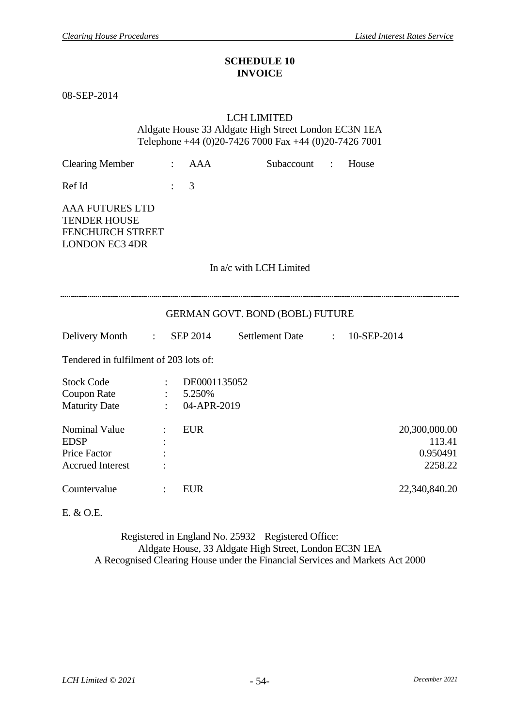#### **SCHEDULE 10 INVOICE**

<span id="page-55-0"></span>08-SEP-2014

#### LCH LIMITED

Aldgate House 33 Aldgate High Street London EC3N 1EA Telephone +44 (0)20-7426 7000 Fax +44 (0)20-7426 7001

| <b>Clearing Member</b>                                                                            | $\ddot{\cdot}$ | <b>AAA</b>                                 | Subaccount              | $\mathbf{L}$              | House                                          |  |  |  |  |  |
|---------------------------------------------------------------------------------------------------|----------------|--------------------------------------------|-------------------------|---------------------------|------------------------------------------------|--|--|--|--|--|
| Ref Id                                                                                            |                | 3                                          |                         |                           |                                                |  |  |  |  |  |
| <b>AAA FUTURES LTD</b><br><b>TENDER HOUSE</b><br><b>FENCHURCH STREET</b><br><b>LONDON EC3 4DR</b> |                |                                            |                         |                           |                                                |  |  |  |  |  |
|                                                                                                   |                |                                            | In a/c with LCH Limited |                           |                                                |  |  |  |  |  |
|                                                                                                   |                |                                            |                         |                           |                                                |  |  |  |  |  |
| <b>GERMAN GOVT. BOND (BOBL) FUTURE</b>                                                            |                |                                            |                         |                           |                                                |  |  |  |  |  |
| Delivery Month<br>$\mathcal{L}^{\text{max}}$                                                      |                | <b>SEP 2014</b>                            | <b>Settlement Date</b>  | $\mathbb{R}^{\mathbb{Z}}$ | 10-SEP-2014                                    |  |  |  |  |  |
| Tendered in fulfilment of 203 lots of:                                                            |                |                                            |                         |                           |                                                |  |  |  |  |  |
| <b>Stock Code</b><br><b>Coupon Rate</b><br><b>Maturity Date</b>                                   |                | DE0001135052<br>$: 5.250\%$<br>04-APR-2019 |                         |                           |                                                |  |  |  |  |  |
| <b>Nominal Value</b><br><b>EDSP</b><br><b>Price Factor</b><br><b>Accrued Interest</b>             |                | <b>EUR</b>                                 |                         |                           | 20,300,000.00<br>113.41<br>0.950491<br>2258.22 |  |  |  |  |  |
| Countervalue                                                                                      | $\ddot{\cdot}$ | <b>EUR</b>                                 |                         |                           | 22,340,840.20                                  |  |  |  |  |  |

E. & O.E.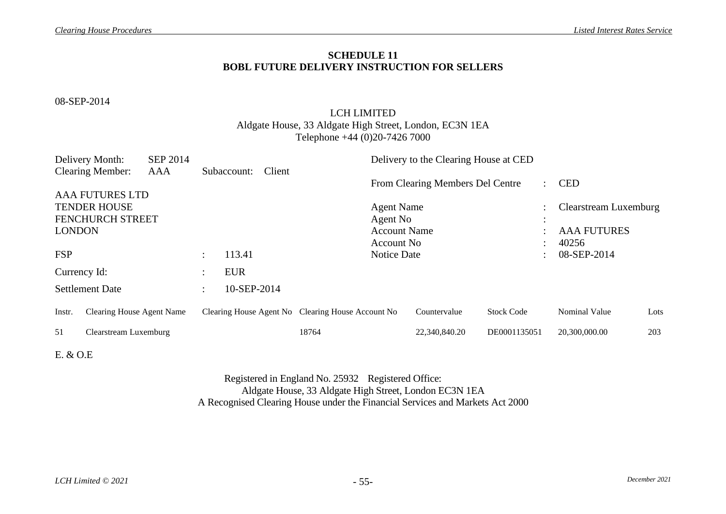## **SCHEDULE 11 BOBL FUTURE DELIVERY INSTRUCTION FOR SELLERS**

08-SEP-2014

## LCH LIMITED

### Aldgate House, 33 Aldgate High Street, London, EC3N 1EA Telephone +44 (0)20-7426 7000

|               | Delivery Month:                  | <b>SEP 2014</b> |                        |             |        |                                                   |                   | Delivery to the Clearing House at CED |                   |                      |                       |      |
|---------------|----------------------------------|-----------------|------------------------|-------------|--------|---------------------------------------------------|-------------------|---------------------------------------|-------------------|----------------------|-----------------------|------|
|               | <b>Clearing Member:</b>          | AAA             |                        | Subaccount: | Client |                                                   |                   | From Clearing Members Del Centre      |                   | $\ddot{\phantom{a}}$ | <b>CED</b>            |      |
|               | <b>AAA FUTURES LTD</b>           |                 |                        |             |        |                                                   |                   |                                       |                   |                      |                       |      |
|               | <b>TENDER HOUSE</b>              |                 |                        |             |        |                                                   | <b>Agent Name</b> |                                       |                   | $\ddot{\cdot}$       | Clearstream Luxemburg |      |
|               | FENCHURCH STREET                 |                 |                        |             |        |                                                   | Agent No          |                                       |                   | $\bullet$            |                       |      |
| <b>LONDON</b> |                                  |                 |                        |             |        | <b>Account Name</b>                               |                   |                                       |                   | <b>AAA FUTURES</b>   |                       |      |
|               |                                  |                 |                        |             |        |                                                   | Account No        |                                       |                   |                      | 40256                 |      |
| <b>FSP</b>    |                                  |                 | $\ddot{\phantom{a}}$   | 113.41      |        |                                                   | Notice Date       |                                       |                   |                      | 08-SEP-2014           |      |
| Currency Id:  |                                  |                 | $\bullet$<br>$\bullet$ | <b>EUR</b>  |        |                                                   |                   |                                       |                   |                      |                       |      |
|               | <b>Settlement Date</b>           |                 | $\ddot{\phantom{a}}$   | 10-SEP-2014 |        |                                                   |                   |                                       |                   |                      |                       |      |
| Instr.        | <b>Clearing House Agent Name</b> |                 |                        |             |        | Clearing House Agent No Clearing House Account No |                   | Countervalue                          | <b>Stock Code</b> |                      | <b>Nominal Value</b>  | Lots |
| 51            | Clearstream Luxemburg            |                 |                        |             |        | 18764                                             |                   | 22,340,840.20                         | DE0001135051      |                      | 20,300,000.00         | 203  |
|               |                                  |                 |                        |             |        |                                                   |                   |                                       |                   |                      |                       |      |

<span id="page-56-0"></span>E. & O.E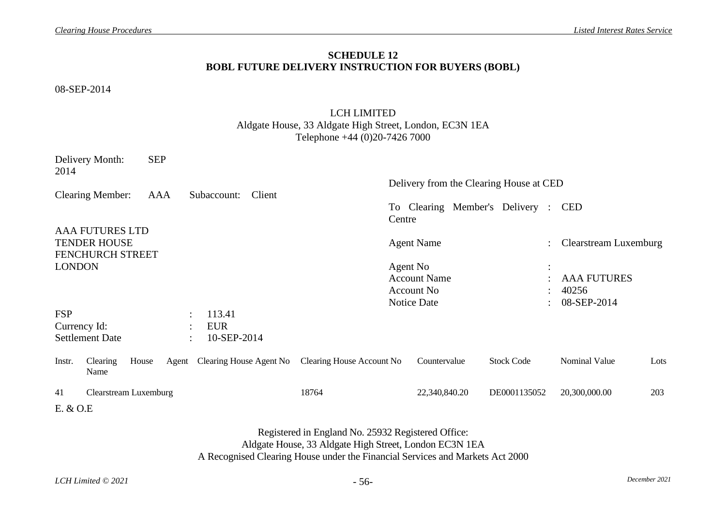## **SCHEDULE 12 BOBL FUTURE DELIVERY INSTRUCTION FOR BUYERS (BOBL)**

08-SEP-2014

## LCH LIMITED Aldgate House, 33 Aldgate High Street, London, EC3N 1EA Telephone +44 (0)20-7426 7000

<span id="page-57-0"></span>

| Delivery Month:<br>2014            | <b>SEP</b> |                               |                                                                                                              |                     |                                         |                       |      |
|------------------------------------|------------|-------------------------------|--------------------------------------------------------------------------------------------------------------|---------------------|-----------------------------------------|-----------------------|------|
|                                    |            |                               |                                                                                                              |                     | Delivery from the Clearing House at CED |                       |      |
| <b>Clearing Member:</b>            | AAA        | Client<br>Subaccount:         |                                                                                                              | Centre              | To Clearing Member's Delivery : CED     |                       |      |
| <b>AAA FUTURES LTD</b>             |            |                               |                                                                                                              |                     |                                         |                       |      |
| <b>TENDER HOUSE</b>                |            |                               |                                                                                                              | <b>Agent Name</b>   |                                         | Clearstream Luxemburg |      |
| FENCHURCH STREET                   |            |                               |                                                                                                              |                     |                                         |                       |      |
| <b>LONDON</b>                      |            |                               |                                                                                                              | Agent No            |                                         |                       |      |
|                                    |            |                               |                                                                                                              | <b>Account Name</b> |                                         | <b>AAA FUTURES</b>    |      |
|                                    |            |                               |                                                                                                              | <b>Account No</b>   |                                         | 40256                 |      |
|                                    |            |                               |                                                                                                              | Notice Date         |                                         | 08-SEP-2014           |      |
| <b>FSP</b>                         |            | 113.41<br>$\ddot{\cdot}$      |                                                                                                              |                     |                                         |                       |      |
| Currency Id:                       |            | <b>EUR</b>                    |                                                                                                              |                     |                                         |                       |      |
| <b>Settlement Date</b>             |            | 10-SEP-2014<br>$\bullet$      |                                                                                                              |                     |                                         |                       |      |
| Clearing<br>Instr.<br>Name         | House      | Agent Clearing House Agent No | Clearing House Account No                                                                                    | Countervalue        | <b>Stock Code</b>                       | Nominal Value         | Lots |
| 41<br><b>Clearstream Luxemburg</b> |            |                               | 18764                                                                                                        | 22,340,840.20       | DE0001135052                            | 20,300,000.00         | 203  |
| E. & O.E                           |            |                               |                                                                                                              |                     |                                         |                       |      |
|                                    |            |                               | Registered in England No. 25932 Registered Office:<br>Aldgate House, 33 Aldgate High Street, London EC3N 1EA |                     |                                         |                       |      |

A Recognised Clearing House under the Financial Services and Markets Act 2000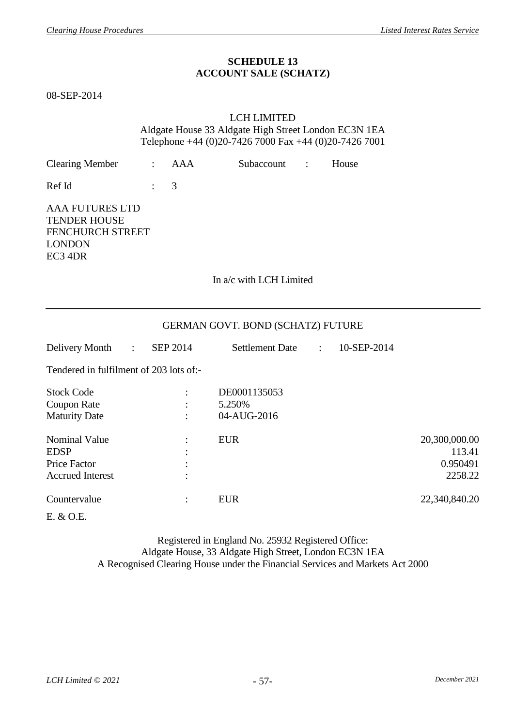### **SCHEDULE 13 ACCOUNT SALE (SCHATZ)**

<span id="page-58-0"></span>08-SEP-2014

#### LCH LIMITED Aldgate House 33 Aldgate High Street London EC3N 1EA Telephone +44 (0)20-7426 7000 Fax +44 (0)20-7426 7001

| <b>Clearing Member</b>                                                                        |                | <b>AAA</b>      | Subaccount                        | $\ddot{\cdot}$            | House       |                                                |
|-----------------------------------------------------------------------------------------------|----------------|-----------------|-----------------------------------|---------------------------|-------------|------------------------------------------------|
| Ref Id                                                                                        | $\ddot{\cdot}$ | 3               |                                   |                           |             |                                                |
| <b>AAA FUTURES LTD</b><br><b>TENDER HOUSE</b><br>FENCHURCH STREET<br><b>LONDON</b><br>EC3 4DR |                |                 |                                   |                           |             |                                                |
|                                                                                               |                |                 | In a/c with LCH Limited           |                           |             |                                                |
|                                                                                               |                |                 | GERMAN GOVT. BOND (SCHATZ) FUTURE |                           |             |                                                |
| Delivery Month<br>$\mathbb{R}^{\mathbb{Z}}$                                                   |                | <b>SEP 2014</b> | <b>Settlement Date</b>            | $\mathbb{R}^{\mathbb{Z}}$ | 10-SEP-2014 |                                                |
| Tendered in fulfilment of 203 lots of:-                                                       |                |                 |                                   |                           |             |                                                |
| <b>Stock Code</b>                                                                             |                |                 | DE0001135053                      |                           |             |                                                |
| <b>Coupon Rate</b><br><b>Maturity Date</b>                                                    |                |                 | 5.250%<br>04-AUG-2016             |                           |             |                                                |
| <b>Nominal Value</b><br><b>EDSP</b><br><b>Price Factor</b><br><b>Accrued Interest</b>         |                |                 | <b>EUR</b>                        |                           |             | 20,300,000.00<br>113.41<br>0.950491<br>2258.22 |
| Countervalue                                                                                  |                |                 | <b>EUR</b>                        |                           |             | 22,340,840.20                                  |

E. & O.E.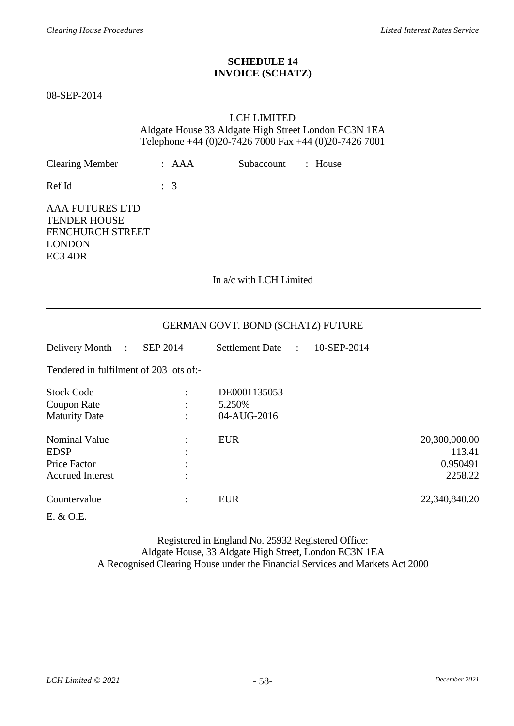### **SCHEDULE 14 INVOICE (SCHATZ)**

<span id="page-59-0"></span>08-SEP-2014

#### LCH LIMITED Aldgate House 33 Aldgate High Street London EC3N 1EA Telephone +44 (0)20-7426 7000 Fax +44 (0)20-7426 7001

| <b>Clearing Member</b>                                                                        | : AAA          | : House<br>Subaccount                 |                                                |
|-----------------------------------------------------------------------------------------------|----------------|---------------------------------------|------------------------------------------------|
| Ref Id                                                                                        | $\therefore$ 3 |                                       |                                                |
| <b>AAA FUTURES LTD</b><br><b>TENDER HOUSE</b><br>FENCHURCH STREET<br><b>LONDON</b><br>EC3 4DR |                |                                       |                                                |
|                                                                                               |                | In a/c with LCH Limited               |                                                |
|                                                                                               |                | GERMAN GOVT. BOND (SCHATZ) FUTURE     |                                                |
| Delivery Month<br>$\sim$ 100 $\sim$                                                           | SEP 2014       | Settlement Date :<br>10-SEP-2014      |                                                |
| Tendered in fulfilment of 203 lots of:-                                                       |                |                                       |                                                |
| <b>Stock Code</b><br>Coupon Rate<br><b>Maturity Date</b>                                      |                | DE0001135053<br>5.250%<br>04-AUG-2016 |                                                |
| <b>Nominal Value</b><br><b>EDSP</b><br>Price Factor<br><b>Accrued Interest</b>                |                | <b>EUR</b>                            | 20,300,000.00<br>113.41<br>0.950491<br>2258.22 |
| Countervalue<br>E. & O.E.                                                                     | $\ddot{\cdot}$ | <b>EUR</b>                            | 22,340,840.20                                  |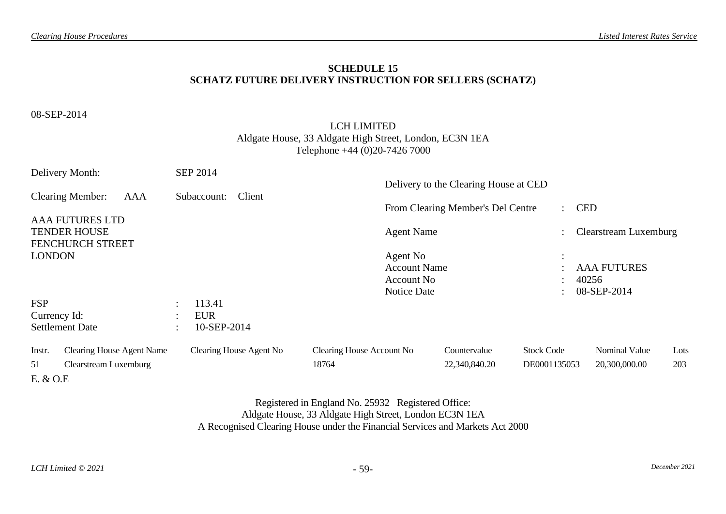### **SCHEDULE 15 SCHATZ FUTURE DELIVERY INSTRUCTION FOR SELLERS (SCHATZ)**

08-SEP-2014

### LCH LIMITED Aldgate House, 33 Aldgate High Street, London, EC3N 1EA Telephone +44 (0)20-7426 7000

<span id="page-60-0"></span>

| Delivery Month: |                                                                          |                      | <b>SEP 2014</b>         |                           |                                                               |                                       |                   |                  |                                            |      |
|-----------------|--------------------------------------------------------------------------|----------------------|-------------------------|---------------------------|---------------------------------------------------------------|---------------------------------------|-------------------|------------------|--------------------------------------------|------|
|                 | <b>Clearing Member:</b><br>AAA                                           |                      | Client<br>Subaccount:   |                           |                                                               | Delivery to the Clearing House at CED |                   |                  |                                            |      |
|                 |                                                                          |                      |                         |                           |                                                               | From Clearing Member's Del Centre     |                   | $\therefore$ CED |                                            |      |
|                 | <b>AAA FUTURES LTD</b><br><b>TENDER HOUSE</b><br><b>FENCHURCH STREET</b> |                      |                         |                           | <b>Agent Name</b>                                             |                                       |                   |                  | Clearstream Luxemburg                      |      |
| <b>LONDON</b>   |                                                                          |                      |                         |                           | Agent No<br><b>Account Name</b><br>Account No.<br>Notice Date |                                       | $\cdot$           |                  | <b>AAA FUTURES</b><br>40256<br>08-SEP-2014 |      |
| <b>FSP</b>      |                                                                          | $\sim$               | 113.41                  |                           |                                                               |                                       |                   |                  |                                            |      |
| Currency Id:    |                                                                          | $\ddot{\phantom{1}}$ | <b>EUR</b>              |                           |                                                               |                                       |                   |                  |                                            |      |
|                 | <b>Settlement Date</b>                                                   | $\bullet$            | 10-SEP-2014             |                           |                                                               |                                       |                   |                  |                                            |      |
| Instr.          | <b>Clearing House Agent Name</b>                                         |                      | Clearing House Agent No | Clearing House Account No |                                                               | Countervalue                          | <b>Stock Code</b> |                  | <b>Nominal Value</b>                       | Lots |
| 51              | Clearstream Luxemburg                                                    |                      |                         | 18764                     |                                                               | 22,340,840.20                         | DE0001135053      |                  | 20,300,000.00                              | 203  |
| E. & O.E        |                                                                          |                      |                         |                           |                                                               |                                       |                   |                  |                                            |      |